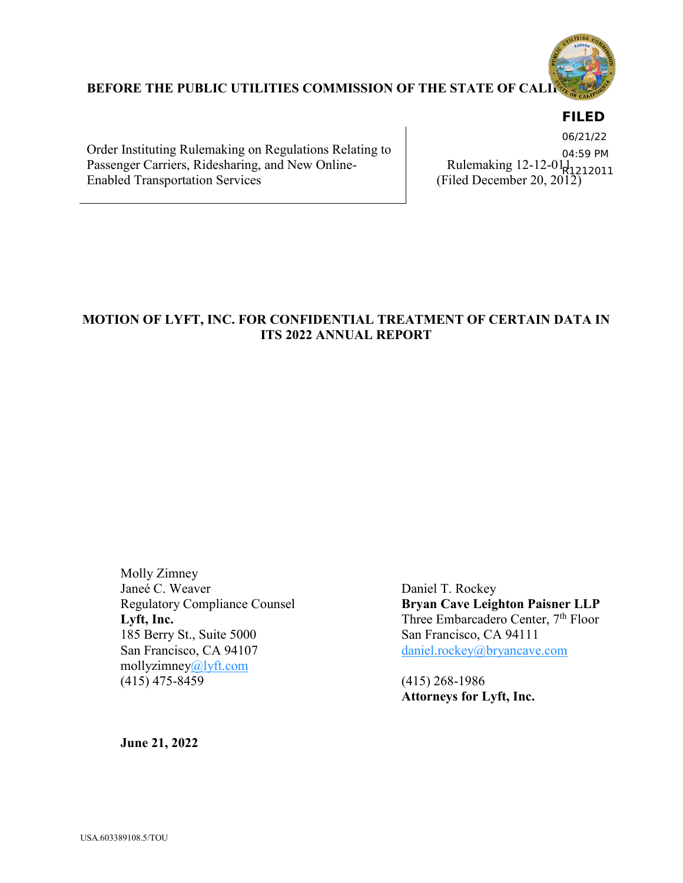

### **BEFORE THE PUBLIC UTILITIES COMMISSION OF THE STATE OF CALI**

# **FILED**

Order Instituting Rulemaking on Regulations Relating to Passenger Carriers, Ridesharing, and New Online-Enabled Transportation Services

Rulemaking 12-12-01<sub>1</sub>. Ruchland 12-12-0 R1212011<br>(Filed December 20, 2012) 06/21/22 04:59 PM

# **MOTION OF LYFT, INC. FOR CONFIDENTIAL TREATMENT OF CERTAIN DATA IN ITS 2022 ANNUAL REPORT**

Molly Zimney Janeé C. Weaver Daniel T. Rockey 185 Berry St., Suite 5000 San Francisco, CA 94111 San Francisco, CA 94107 [daniel.rockey@bryancave.com](mailto:daniel.rockey@bryancave.com) mollyzimne[y@lyft.com](mailto:atran@lyft.com)  (415) 475-8459 (415) 268-1986

Regulatory Compliance Counsel **Bryan Cave Leighton Paisner LLP** Lyft, Inc. Three Embarcadero Center, 7<sup>th</sup> Floor

**Attorneys for Lyft, Inc.**

**June 21, 2022**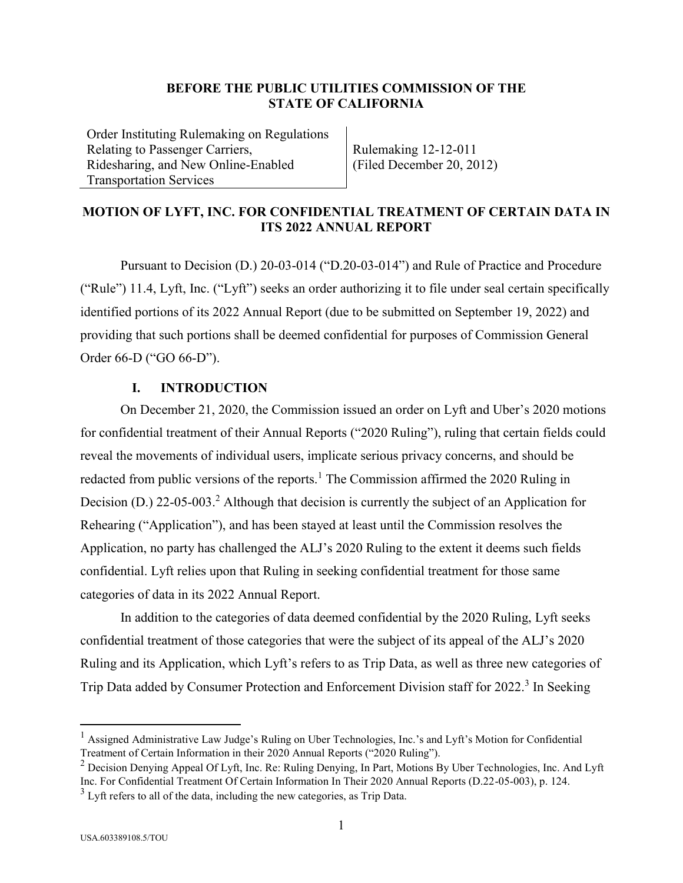#### **BEFORE THE PUBLIC UTILITIES COMMISSION OF THE STATE OF CALIFORNIA**

Order Instituting Rulemaking on Regulations Relating to Passenger Carriers, Ridesharing, and New Online-Enabled Transportation Services

Rulemaking 12-12-011 (Filed December 20, 2012)

## **MOTION OF LYFT, INC. FOR CONFIDENTIAL TREATMENT OF CERTAIN DATA IN ITS 2022 ANNUAL REPORT**

Pursuant to Decision (D.) 20-03-014 ("D.20-03-014") and Rule of Practice and Procedure ("Rule") 11.4, Lyft, Inc. ("Lyft") seeks an order authorizing it to file under seal certain specifically identified portions of its 2022 Annual Report (due to be submitted on September 19, 2022) and providing that such portions shall be deemed confidential for purposes of Commission General Order 66-D ("GO 66-D").

### **I. INTRODUCTION**

On December 21, 2020, the Commission issued an order on Lyft and Uber's 2020 motions for confidential treatment of their Annual Reports ("2020 Ruling"), ruling that certain fields could reveal the movements of individual users, implicate serious privacy concerns, and should be redacted from public versions of the reports.<sup>1</sup> The Commission affirmed the 2020 Ruling in Decision (D.) 22-05-003.<sup>2</sup> Although that decision is currently the subject of an Application for Rehearing ("Application"), and has been stayed at least until the Commission resolves the Application, no party has challenged the ALJ's 2020 Ruling to the extent it deems such fields confidential. Lyft relies upon that Ruling in seeking confidential treatment for those same categories of data in its 2022 Annual Report.

In addition to the categories of data deemed confidential by the 2020 Ruling, Lyft seeks confidential treatment of those categories that were the subject of its appeal of the ALJ's 2020 Ruling and its Application, which Lyft's refers to as Trip Data, as well as three new categories of Trip Data added by Consumer Protection and Enforcement Division staff for 2022.<sup>3</sup> In Seeking

<sup>&</sup>lt;sup>1</sup> Assigned Administrative Law Judge's Ruling on Uber Technologies, Inc.'s and Lyft's Motion for Confidential Treatment of Certain Information in their 2020 Annual Reports ("2020 Ruling").

 $2$  Decision Denying Appeal Of Lyft, Inc. Re: Ruling Denying, In Part, Motions By Uber Technologies, Inc. And Lyft Inc. For Confidential Treatment Of Certain Information In Their 2020 Annual Reports (D.22-05-003), p. 124.

 $3$  Lyft refers to all of the data, including the new categories, as Trip Data.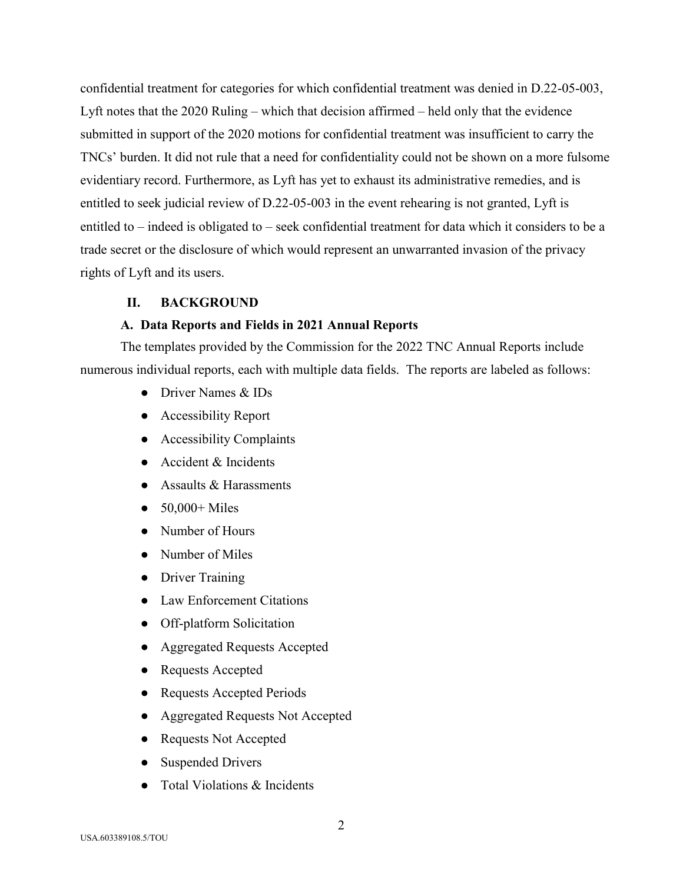confidential treatment for categories for which confidential treatment was denied in D.22-05-003, Lyft notes that the 2020 Ruling – which that decision affirmed – held only that the evidence submitted in support of the 2020 motions for confidential treatment was insufficient to carry the TNCs' burden. It did not rule that a need for confidentiality could not be shown on a more fulsome evidentiary record. Furthermore, as Lyft has yet to exhaust its administrative remedies, and is entitled to seek judicial review of D.22-05-003 in the event rehearing is not granted, Lyft is entitled to – indeed is obligated to – seek confidential treatment for data which it considers to be a trade secret or the disclosure of which would represent an unwarranted invasion of the privacy rights of Lyft and its users.

#### **II. BACKGROUND**

#### **A. Data Reports and Fields in 2021 Annual Reports**

The templates provided by the Commission for the 2022 TNC Annual Reports include numerous individual reports, each with multiple data fields. The reports are labeled as follows:

- Driver Names & IDs
- Accessibility Report
- Accessibility Complaints
- Accident & Incidents
- Assaults & Harassments
- $\bullet$  50,000+ Miles
- Number of Hours
- Number of Miles
- Driver Training
- Law Enforcement Citations
- Off-platform Solicitation
- Aggregated Requests Accepted
- Requests Accepted
- Requests Accepted Periods
- Aggregated Requests Not Accepted
- Requests Not Accepted
- Suspended Drivers
- Total Violations & Incidents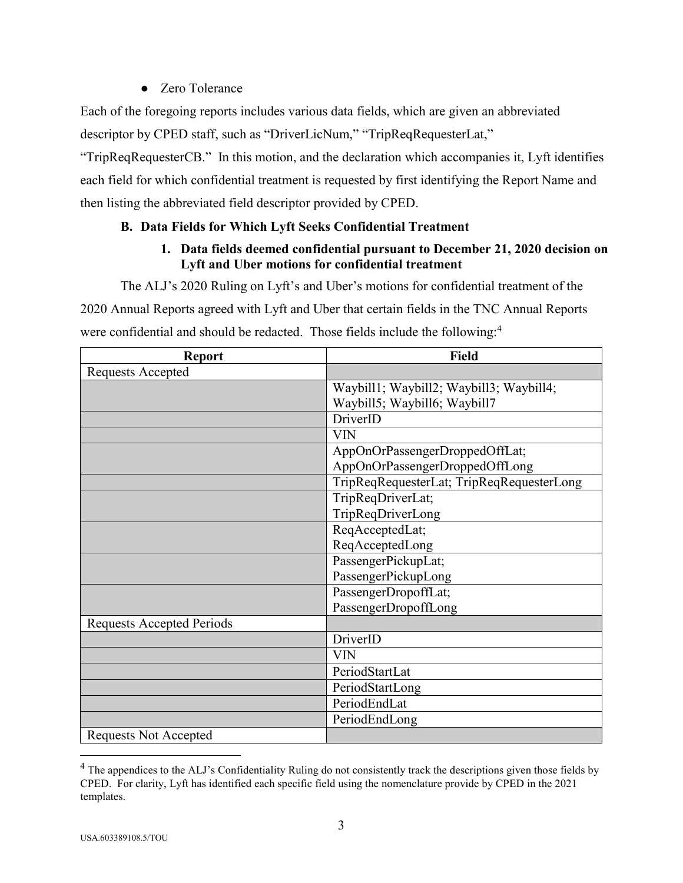# ● Zero Tolerance

Each of the foregoing reports includes various data fields, which are given an abbreviated descriptor by CPED staff, such as "DriverLicNum," "TripReqRequesterLat,"

"TripReqRequesterCB." In this motion, and the declaration which accompanies it, Lyft identifies each field for which confidential treatment is requested by first identifying the Report Name and then listing the abbreviated field descriptor provided by CPED.

# **B. Data Fields for Which Lyft Seeks Confidential Treatment**

# **1. Data fields deemed confidential pursuant to December 21, 2020 decision on Lyft and Uber motions for confidential treatment**

The ALJ's 2020 Ruling on Lyft's and Uber's motions for confidential treatment of the

2020 Annual Reports agreed with Lyft and Uber that certain fields in the TNC Annual Reports were confidential and should be redacted. Those fields include the following:<sup>4</sup>

| <b>Report</b>                    | <b>Field</b>                              |
|----------------------------------|-------------------------------------------|
| Requests Accepted                |                                           |
|                                  | Waybill1; Waybill2; Waybill3; Waybill4;   |
|                                  | Waybill5; Waybill6; Waybill7              |
|                                  | DriverID                                  |
|                                  | <b>VIN</b>                                |
|                                  | AppOnOrPassengerDroppedOffLat;            |
|                                  | AppOnOrPassengerDroppedOffLong            |
|                                  | TripReqRequesterLat; TripReqRequesterLong |
|                                  | TripReqDriverLat;                         |
|                                  | TripReqDriverLong                         |
|                                  | ReqAcceptedLat;                           |
|                                  | ReqAcceptedLong                           |
|                                  | PassengerPickupLat;                       |
|                                  | PassengerPickupLong                       |
|                                  | PassengerDropoffLat;                      |
|                                  | PassengerDropoffLong                      |
| <b>Requests Accepted Periods</b> |                                           |
|                                  | DriverID                                  |
|                                  | <b>VIN</b>                                |
|                                  | PeriodStartLat                            |
|                                  | PeriodStartLong                           |
|                                  | PeriodEndLat                              |
|                                  | PeriodEndLong                             |
| <b>Requests Not Accepted</b>     |                                           |

 $<sup>4</sup>$  The appendices to the ALJ's Confidentiality Ruling do not consistently track the descriptions given those fields by</sup> CPED. For clarity, Lyft has identified each specific field using the nomenclature provide by CPED in the 2021 templates.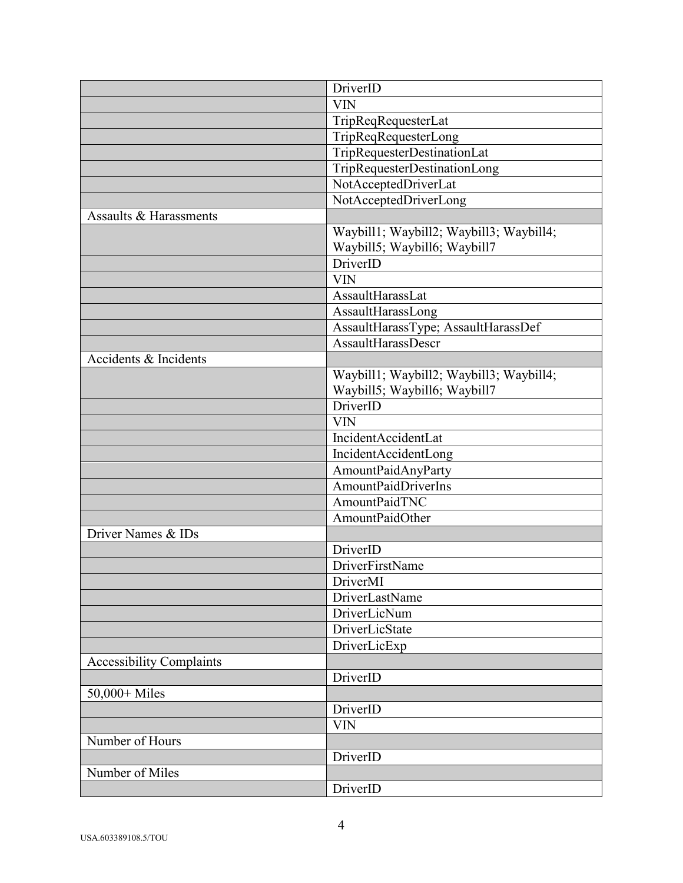|                                 | DriverID                                |
|---------------------------------|-----------------------------------------|
|                                 | <b>VIN</b>                              |
|                                 | TripReqRequesterLat                     |
|                                 | TripReqRequesterLong                    |
|                                 | TripRequesterDestinationLat             |
|                                 | TripRequesterDestinationLong            |
|                                 | NotAcceptedDriverLat                    |
|                                 | NotAcceptedDriverLong                   |
| Assaults & Harassments          |                                         |
|                                 | Waybill1; Waybill2; Waybill3; Waybill4; |
|                                 | Waybill5; Waybill6; Waybill7            |
|                                 | DriverID                                |
|                                 | <b>VIN</b>                              |
|                                 | AssaultHarassLat                        |
|                                 | AssaultHarassLong                       |
|                                 | AssaultHarassType; AssaultHarassDef     |
|                                 | <b>AssaultHarassDescr</b>               |
| Accidents & Incidents           |                                         |
|                                 | Waybill1; Waybill2; Waybill3; Waybill4; |
|                                 | Waybill5; Waybill6; Waybill7            |
|                                 | DriverID                                |
|                                 | <b>VIN</b>                              |
|                                 | IncidentAccidentLat                     |
|                                 | IncidentAccidentLong                    |
|                                 | AmountPaidAnyParty                      |
|                                 | AmountPaidDriverIns                     |
|                                 | AmountPaidTNC                           |
|                                 | AmountPaidOther                         |
| Driver Names & IDs              |                                         |
|                                 | DriverID                                |
|                                 | DriverFirstName                         |
|                                 | DriverMI                                |
|                                 | DriverLastName                          |
|                                 | DriverLicNum                            |
|                                 | DriverLicState                          |
|                                 | DriverLicExp                            |
| <b>Accessibility Complaints</b> |                                         |
|                                 | DriverID                                |
| 50,000+ Miles                   |                                         |
|                                 | DriverID                                |
|                                 | <b>VIN</b>                              |
| Number of Hours                 |                                         |
|                                 | DriverID                                |
| Number of Miles                 |                                         |
|                                 | DriverID                                |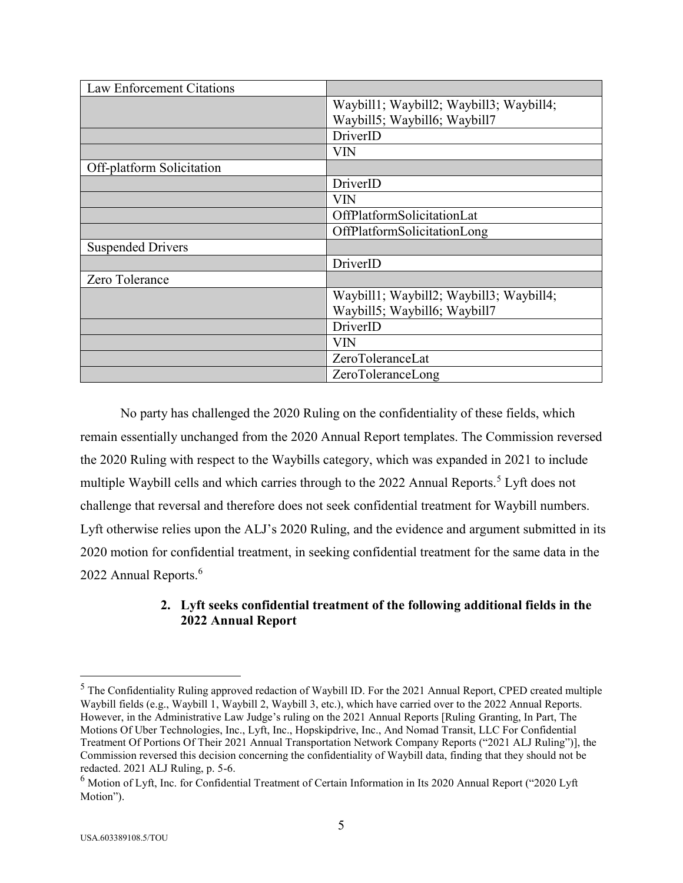| Law Enforcement Citations |                                         |
|---------------------------|-----------------------------------------|
|                           | Waybill1; Waybill2; Waybill3; Waybill4; |
|                           | Waybill5; Waybill6; Waybill7            |
|                           | DriverID                                |
|                           | <b>VIN</b>                              |
| Off-platform Solicitation |                                         |
|                           | DriverID                                |
|                           | <b>VIN</b>                              |
|                           | OffPlatformSolicitationLat              |
|                           | OffPlatformSolicitationLong             |
| <b>Suspended Drivers</b>  |                                         |
|                           | DriverID                                |
| Zero Tolerance            |                                         |
|                           | Waybill1; Waybill2; Waybill3; Waybill4; |
|                           | Waybill5; Waybill6; Waybill7            |
|                           | DriverID                                |
|                           | VIN                                     |
|                           | ZeroToleranceLat                        |
|                           | ZeroToleranceLong                       |

No party has challenged the 2020 Ruling on the confidentiality of these fields, which remain essentially unchanged from the 2020 Annual Report templates. The Commission reversed the 2020 Ruling with respect to the Waybills category, which was expanded in 2021 to include multiple Waybill cells and which carries through to the 2022 Annual Reports.<sup>5</sup> Lyft does not challenge that reversal and therefore does not seek confidential treatment for Waybill numbers. Lyft otherwise relies upon the ALJ's 2020 Ruling, and the evidence and argument submitted in its 2020 motion for confidential treatment, in seeking confidential treatment for the same data in the 2022 Annual Reports.<sup>6</sup>

# **2. Lyft seeks confidential treatment of the following additional fields in the 2022 Annual Report**

<sup>5</sup> The Confidentiality Ruling approved redaction of Waybill ID. For the 2021 Annual Report, CPED created multiple Waybill fields (e.g., Waybill 1, Waybill 2, Waybill 3, etc.), which have carried over to the 2022 Annual Reports. However, in the Administrative Law Judge's ruling on the 2021 Annual Reports [Ruling Granting, In Part, The Motions Of Uber Technologies, Inc., Lyft, Inc., Hopskipdrive, Inc., And Nomad Transit, LLC For Confidential Treatment Of Portions Of Their 2021 Annual Transportation Network Company Reports ("2021 ALJ Ruling")], the Commission reversed this decision concerning the confidentiality of Waybill data, finding that they should not be redacted. 2021 ALJ Ruling, p. 5-6.

<sup>6</sup> Motion of Lyft, Inc. for Confidential Treatment of Certain Information in Its 2020 Annual Report ("2020 Lyft Motion").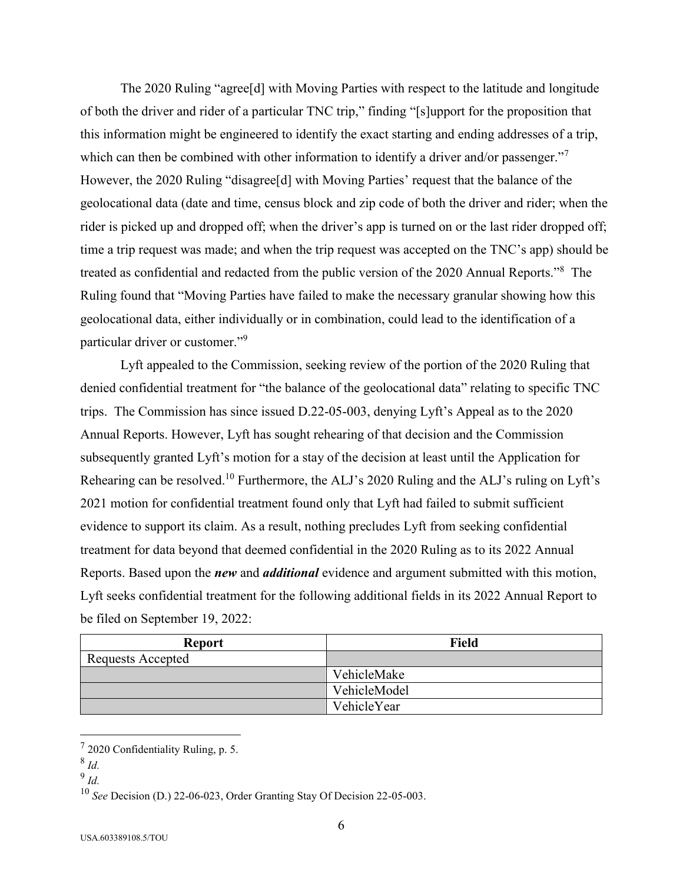The 2020 Ruling "agree[d] with Moving Parties with respect to the latitude and longitude of both the driver and rider of a particular TNC trip," finding "[s]upport for the proposition that this information might be engineered to identify the exact starting and ending addresses of a trip, which can then be combined with other information to identify a driver and/or passenger."<sup>7</sup> However, the 2020 Ruling "disagree<sup>[d]</sup> with Moving Parties' request that the balance of the geolocational data (date and time, census block and zip code of both the driver and rider; when the rider is picked up and dropped off; when the driver's app is turned on or the last rider dropped off; time a trip request was made; and when the trip request was accepted on the TNC's app) should be treated as confidential and redacted from the public version of the 2020 Annual Reports."<sup>8</sup> The Ruling found that "Moving Parties have failed to make the necessary granular showing how this geolocational data, either individually or in combination, could lead to the identification of a particular driver or customer."<sup>9</sup>

Lyft appealed to the Commission, seeking review of the portion of the 2020 Ruling that denied confidential treatment for "the balance of the geolocational data" relating to specific TNC trips. The Commission has since issued D.22-05-003, denying Lyft's Appeal as to the 2020 Annual Reports. However, Lyft has sought rehearing of that decision and the Commission subsequently granted Lyft's motion for a stay of the decision at least until the Application for Rehearing can be resolved.<sup>10</sup> Furthermore, the ALJ's 2020 Ruling and the ALJ's ruling on Lyft's 2021 motion for confidential treatment found only that Lyft had failed to submit sufficient evidence to support its claim. As a result, nothing precludes Lyft from seeking confidential treatment for data beyond that deemed confidential in the 2020 Ruling as to its 2022 Annual Reports. Based upon the *new* and *additional* evidence and argument submitted with this motion, Lyft seeks confidential treatment for the following additional fields in its 2022 Annual Report to be filed on September 19, 2022:

| <b>Report</b>     | <b>Field</b> |
|-------------------|--------------|
| Requests Accepted |              |
|                   | VehicleMake  |
|                   | VehicleModel |
|                   | VehicleYear  |

 $72020$  Confidentiality Ruling, p. 5.

<sup>8</sup> *Id.*

<sup>9</sup> *Id.*

<sup>10</sup> *See* Decision (D.) 22-06-023, Order Granting Stay Of Decision 22-05-003.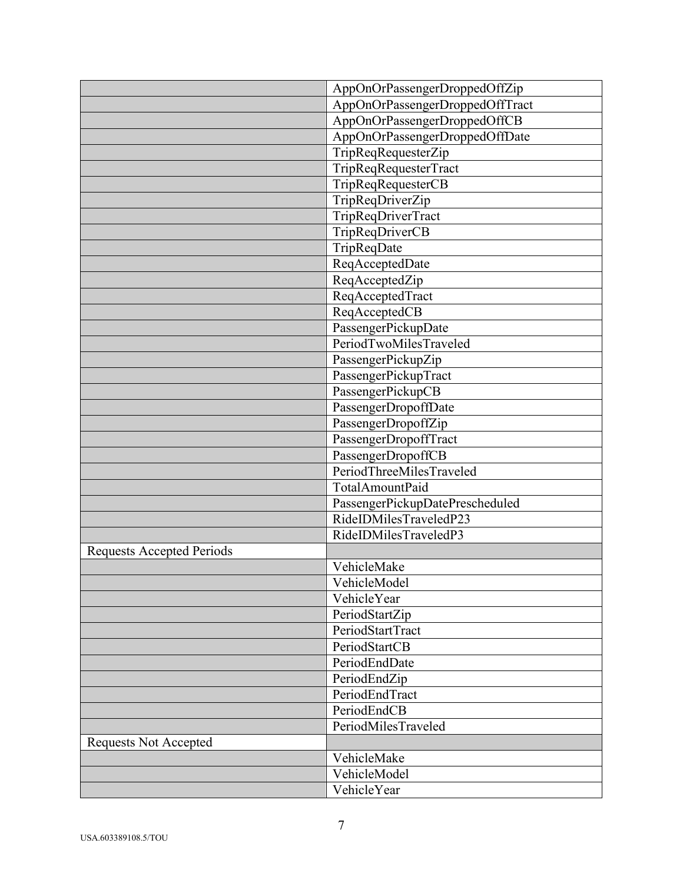|                                  | AppOnOrPassengerDroppedOffZip   |
|----------------------------------|---------------------------------|
|                                  | AppOnOrPassengerDroppedOffTract |
|                                  | AppOnOrPassengerDroppedOffCB    |
|                                  | AppOnOrPassengerDroppedOffDate  |
|                                  | TripReqRequesterZip             |
|                                  | TripReqRequesterTract           |
|                                  | TripReqRequesterCB              |
|                                  | TripReqDriverZip                |
|                                  | TripReqDriverTract              |
|                                  | TripReqDriverCB                 |
|                                  | TripReqDate                     |
|                                  | ReqAcceptedDate                 |
|                                  | ReqAcceptedZip                  |
|                                  | ReqAcceptedTract                |
|                                  | ReqAcceptedCB                   |
|                                  | PassengerPickupDate             |
|                                  | PeriodTwoMilesTraveled          |
|                                  | PassengerPickupZip              |
|                                  | PassengerPickupTract            |
|                                  | PassengerPickupCB               |
|                                  | PassengerDropoffDate            |
|                                  | PassengerDropoffZip             |
|                                  | PassengerDropoffTract           |
|                                  | PassengerDropoffCB              |
|                                  | PeriodThreeMilesTraveled        |
|                                  | TotalAmountPaid                 |
|                                  | PassengerPickupDatePrescheduled |
|                                  | RideIDMilesTraveledP23          |
|                                  | RideIDMilesTraveledP3           |
| <b>Requests Accepted Periods</b> |                                 |
|                                  | VehicleMake                     |
|                                  | VehicleModel                    |
|                                  | VehicleYear                     |
|                                  | PeriodStartZip                  |
|                                  | PeriodStartTract                |
|                                  | PeriodStartCB                   |
|                                  | PeriodEndDate                   |
|                                  | PeriodEndZip                    |
|                                  | PeriodEndTract                  |
|                                  | PeriodEndCB                     |
|                                  | PeriodMilesTraveled             |
| <b>Requests Not Accepted</b>     |                                 |
|                                  | VehicleMake                     |
|                                  | VehicleModel                    |
|                                  | VehicleYear                     |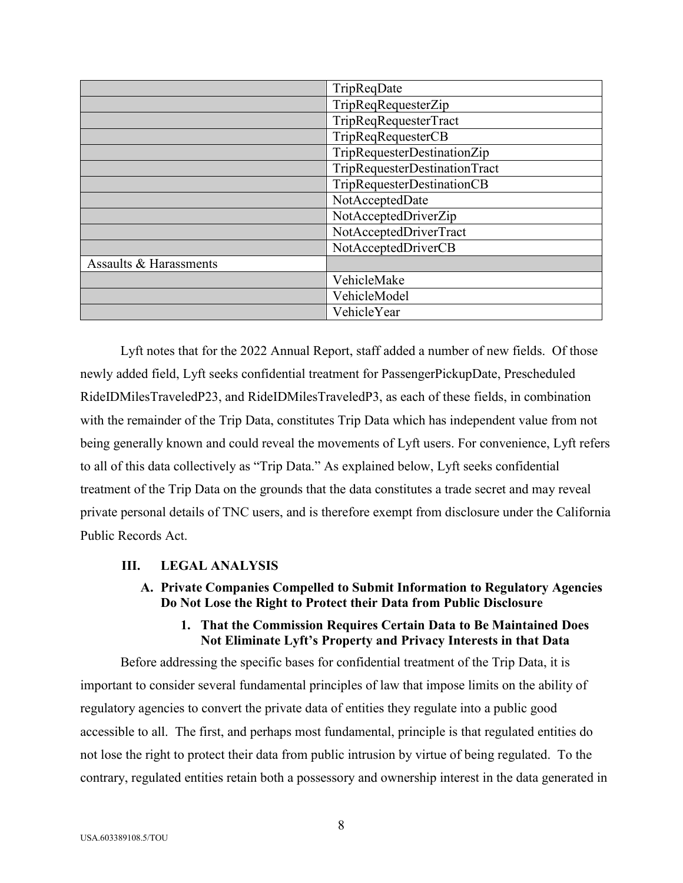|                        | TripReqDate                   |
|------------------------|-------------------------------|
|                        | TripReqRequesterZip           |
|                        | TripReqRequesterTract         |
|                        | TripReqRequesterCB            |
|                        | TripRequesterDestinationZip   |
|                        | TripRequesterDestinationTract |
|                        | TripRequesterDestinationCB    |
|                        | NotAcceptedDate               |
|                        | NotAcceptedDriverZip          |
|                        | NotAcceptedDriverTract        |
|                        | NotAcceptedDriverCB           |
| Assaults & Harassments |                               |
|                        | VehicleMake                   |
|                        | VehicleModel                  |
|                        | VehicleYear                   |

Lyft notes that for the 2022 Annual Report, staff added a number of new fields. Of those newly added field, Lyft seeks confidential treatment for PassengerPickupDate, Prescheduled RideIDMilesTraveledP23, and RideIDMilesTraveledP3, as each of these fields, in combination with the remainder of the Trip Data, constitutes Trip Data which has independent value from not being generally known and could reveal the movements of Lyft users. For convenience, Lyft refers to all of this data collectively as "Trip Data." As explained below, Lyft seeks confidential treatment of the Trip Data on the grounds that the data constitutes a trade secret and may reveal private personal details of TNC users, and is therefore exempt from disclosure under the California Public Records Act.

# **III. LEGAL ANALYSIS**

**A. Private Companies Compelled to Submit Information to Regulatory Agencies Do Not Lose the Right to Protect their Data from Public Disclosure**

## **1. That the Commission Requires Certain Data to Be Maintained Does Not Eliminate Lyft's Property and Privacy Interests in that Data**

Before addressing the specific bases for confidential treatment of the Trip Data, it is important to consider several fundamental principles of law that impose limits on the ability of regulatory agencies to convert the private data of entities they regulate into a public good accessible to all. The first, and perhaps most fundamental, principle is that regulated entities do not lose the right to protect their data from public intrusion by virtue of being regulated. To the contrary, regulated entities retain both a possessory and ownership interest in the data generated in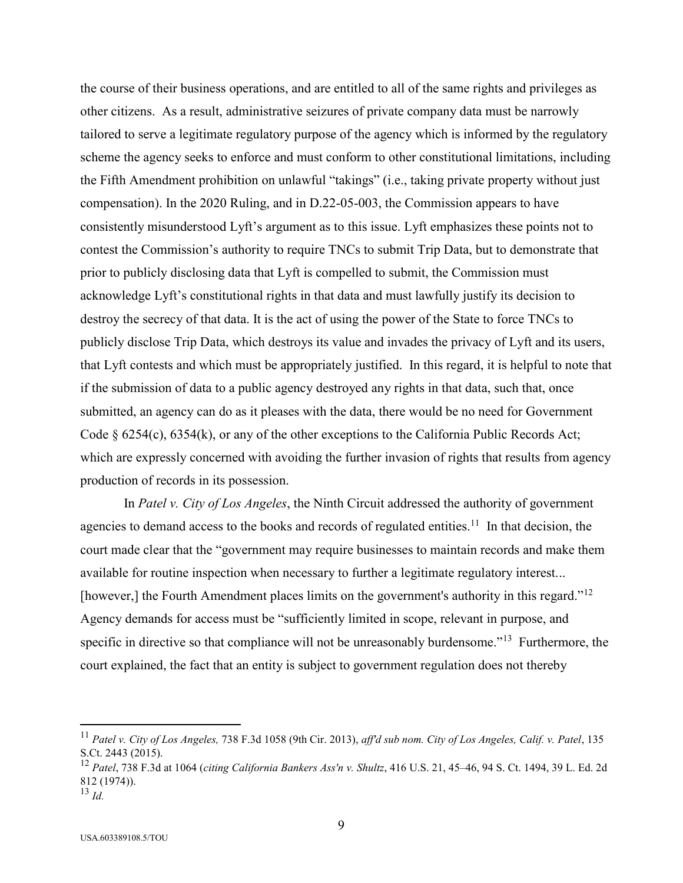the course of their business operations, and are entitled to all of the same rights and privileges as other citizens. As a result, administrative seizures of private company data must be narrowly tailored to serve a legitimate regulatory purpose of the agency which is informed by the regulatory scheme the agency seeks to enforce and must conform to other constitutional limitations, including the Fifth Amendment prohibition on unlawful "takings" (i.e., taking private property without just compensation). In the 2020 Ruling, and in D.22-05-003, the Commission appears to have consistently misunderstood Lyft's argument as to this issue. Lyft emphasizes these points not to contest the Commission's authority to require TNCs to submit Trip Data, but to demonstrate that prior to publicly disclosing data that Lyft is compelled to submit, the Commission must acknowledge Lyft's constitutional rights in that data and must lawfully justify its decision to destroy the secrecy of that data. It is the act of using the power of the State to force TNCs to publicly disclose Trip Data, which destroys its value and invades the privacy of Lyft and its users, that Lyft contests and which must be appropriately justified. In this regard, it is helpful to note that if the submission of data to a public agency destroyed any rights in that data, such that, once submitted, an agency can do as it pleases with the data, there would be no need for Government Code  $\S 6254(c)$ , 6354(k), or any of the other exceptions to the California Public Records Act; which are expressly concerned with avoiding the further invasion of rights that results from agency production of records in its possession.

In *Patel v. City of Los Angeles*, the Ninth Circuit addressed the authority of government agencies to demand access to the books and records of regulated entities.<sup>11</sup> In that decision, the court made clear that the "government may require businesses to maintain records and make them available for routine inspection when necessary to further a legitimate regulatory interest... [however,] the Fourth Amendment places limits on the government's authority in this regard."<sup>12</sup> Agency demands for access must be "sufficiently limited in scope, relevant in purpose, and specific in directive so that compliance will not be unreasonably burdensome."<sup>13</sup> Furthermore, the court explained, the fact that an entity is subject to government regulation does not thereby

<sup>11</sup> *Patel v. City of Los Angeles,* 738 F.3d 1058 (9th Cir. 2013), *aff'd sub nom. City of Los Angeles, Calif. v. Patel*, 135 S.Ct. 2443 (2015).

<sup>12</sup> *Patel*, 738 F.3d at 1064 (*citing California Bankers Ass'n v. Shultz*, 416 U.S. 21, 45–46, 94 S. Ct. 1494, 39 L. Ed. 2d 812 (1974)).

<sup>13</sup> *Id.*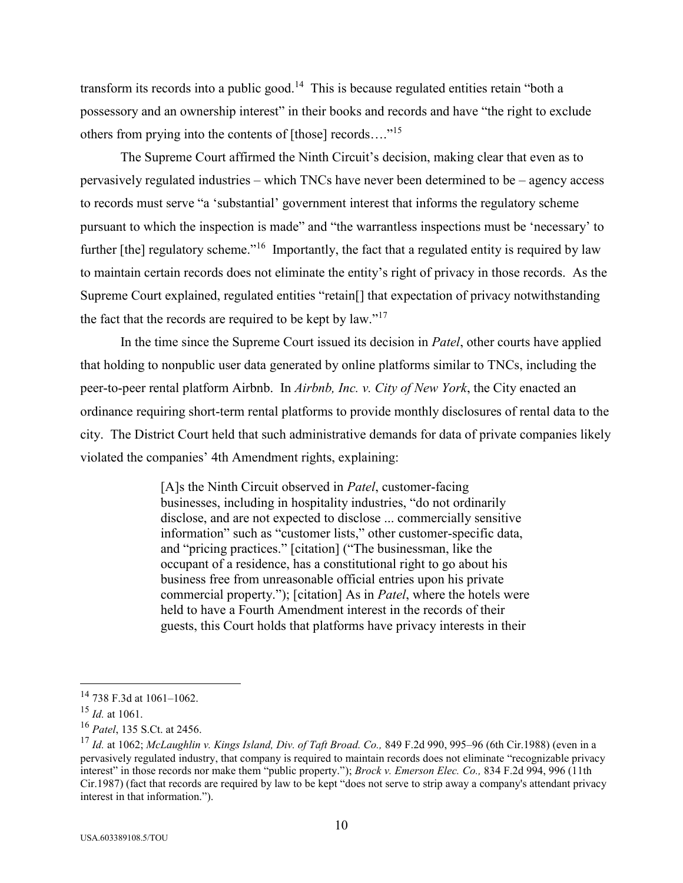transform its records into a public good.<sup>14</sup> This is because regulated entities retain "both a possessory and an ownership interest" in their books and records and have "the right to exclude others from prying into the contents of [those] records...."<sup>15</sup>

The Supreme Court affirmed the Ninth Circuit's decision, making clear that even as to pervasively regulated industries – which TNCs have never been determined to be – agency access to records must serve "a 'substantial' government interest that informs the regulatory scheme pursuant to which the inspection is made" and "the warrantless inspections must be 'necessary' to further [the] regulatory scheme."<sup>16</sup> Importantly, the fact that a regulated entity is required by law to maintain certain records does not eliminate the entity's right of privacy in those records. As the Supreme Court explained, regulated entities "retain[] that expectation of privacy notwithstanding the fact that the records are required to be kept by law."<sup>17</sup>

In the time since the Supreme Court issued its decision in *Patel*, other courts have applied that holding to nonpublic user data generated by online platforms similar to TNCs, including the peer-to-peer rental platform Airbnb. In *Airbnb, Inc. v. City of New York*, the City enacted an ordinance requiring short-term rental platforms to provide monthly disclosures of rental data to the city. The District Court held that such administrative demands for data of private companies likely violated the companies' 4th Amendment rights, explaining:

> [A]s the Ninth Circuit observed in *Patel*, customer-facing businesses, including in hospitality industries, "do not ordinarily disclose, and are not expected to disclose ... commercially sensitive information" such as "customer lists," other customer-specific data, and "pricing practices." [citation] ("The businessman, like the occupant of a residence, has a constitutional right to go about his business free from unreasonable official entries upon his private commercial property."); [citation] As in *Patel*, where the hotels were held to have a Fourth Amendment interest in the records of their guests, this Court holds that platforms have privacy interests in their

<sup>14</sup> 738 F.3d at 1061–1062.

<sup>15</sup> *Id.* at 1061.

<sup>16</sup> *Patel*, 135 S.Ct. at 2456.

<sup>17</sup> *Id.* at 1062; *McLaughlin v. Kings Island, Div. of Taft Broad. Co.,* 849 F.2d 990, 995–96 (6th Cir.1988) (even in a pervasively regulated industry, that company is required to maintain records does not eliminate "recognizable privacy interest" in those records nor make them "public property."); *Brock v. Emerson Elec. Co.,* 834 F.2d 994, 996 (11th Cir.1987) (fact that records are required by law to be kept "does not serve to strip away a company's attendant privacy interest in that information.").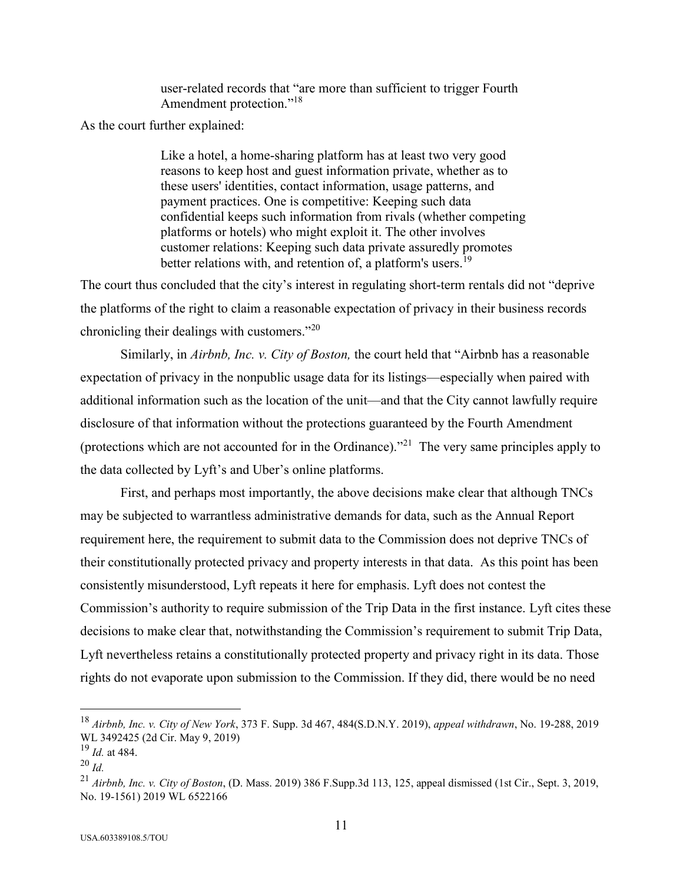user-related records that "are more than sufficient to trigger Fourth Amendment protection."<sup>18</sup>

As the court further explained:

Like a hotel, a home-sharing platform has at least two very good reasons to keep host and guest information private, whether as to these users' identities, contact information, usage patterns, and payment practices. One is competitive: Keeping such data confidential keeps such information from rivals (whether competing platforms or hotels) who might exploit it. The other involves customer relations: Keeping such data private assuredly promotes better relations with, and retention of, a platform's users.<sup>19</sup>

The court thus concluded that the city's interest in regulating short-term rentals did not "deprive the platforms of the right to claim a reasonable expectation of privacy in their business records chronicling their dealings with customers."<sup>20</sup>

Similarly, in *Airbnb, Inc. v. City of Boston,* the court held that "Airbnb has a reasonable expectation of privacy in the nonpublic usage data for its listings—especially when paired with additional information such as the location of the unit—and that the City cannot lawfully require disclosure of that information without the protections guaranteed by the Fourth Amendment (protections which are not accounted for in the Ordinance)."<sup>21</sup> The very same principles apply to the data collected by Lyft's and Uber's online platforms.

First, and perhaps most importantly, the above decisions make clear that although TNCs may be subjected to warrantless administrative demands for data, such as the Annual Report requirement here, the requirement to submit data to the Commission does not deprive TNCs of their constitutionally protected privacy and property interests in that data. As this point has been consistently misunderstood, Lyft repeats it here for emphasis. Lyft does not contest the Commission's authority to require submission of the Trip Data in the first instance. Lyft cites these decisions to make clear that, notwithstanding the Commission's requirement to submit Trip Data, Lyft nevertheless retains a constitutionally protected property and privacy right in its data. Those rights do not evaporate upon submission to the Commission. If they did, there would be no need

<sup>18</sup> *Airbnb, Inc. v. City of New York*, 373 F. Supp. 3d 467, 484(S.D.N.Y. 2019), *appeal withdrawn*, No. 19-288, 2019 WL 3492425 (2d Cir. May 9, 2019)

<sup>19</sup> *Id.* at 484.

<sup>20</sup> *Id.*

<sup>21</sup> *Airbnb, Inc. v. City of Boston*, (D. Mass. 2019) 386 F.Supp.3d 113, 125, appeal dismissed (1st Cir., Sept. 3, 2019, No. 19-1561) 2019 WL 6522166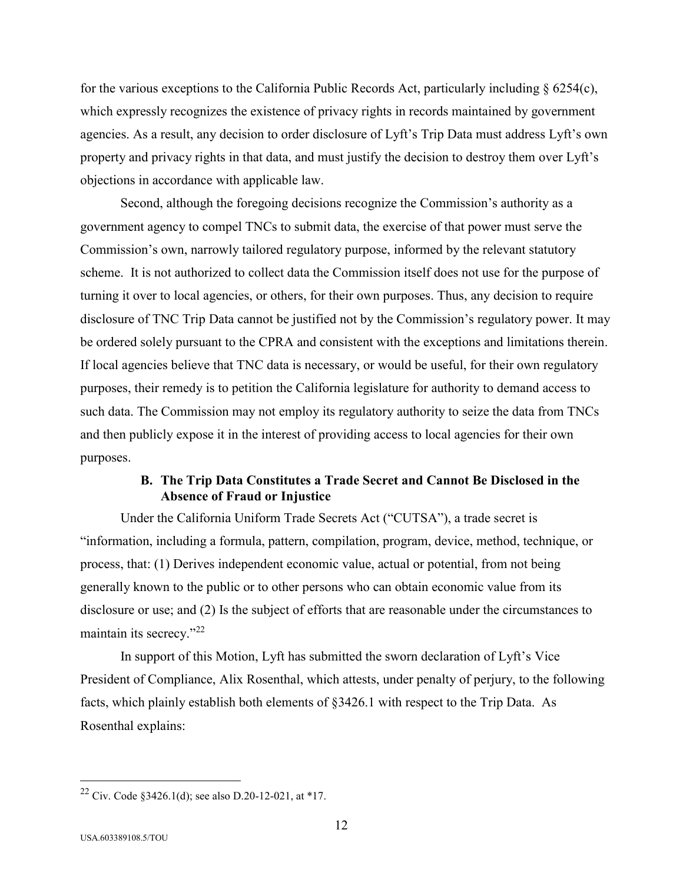for the various exceptions to the California Public Records Act, particularly including  $\S$  6254(c), which expressly recognizes the existence of privacy rights in records maintained by government agencies. As a result, any decision to order disclosure of Lyft's Trip Data must address Lyft's own property and privacy rights in that data, and must justify the decision to destroy them over Lyft's objections in accordance with applicable law.

Second, although the foregoing decisions recognize the Commission's authority as a government agency to compel TNCs to submit data, the exercise of that power must serve the Commission's own, narrowly tailored regulatory purpose, informed by the relevant statutory scheme. It is not authorized to collect data the Commission itself does not use for the purpose of turning it over to local agencies, or others, for their own purposes. Thus, any decision to require disclosure of TNC Trip Data cannot be justified not by the Commission's regulatory power. It may be ordered solely pursuant to the CPRA and consistent with the exceptions and limitations therein. If local agencies believe that TNC data is necessary, or would be useful, for their own regulatory purposes, their remedy is to petition the California legislature for authority to demand access to such data. The Commission may not employ its regulatory authority to seize the data from TNCs and then publicly expose it in the interest of providing access to local agencies for their own purposes.

## **B. The Trip Data Constitutes a Trade Secret and Cannot Be Disclosed in the Absence of Fraud or Injustice**

Under the California Uniform Trade Secrets Act ("CUTSA"), a trade secret is "information, including a formula, pattern, compilation, program, device, method, technique, or process, that: (1) Derives independent economic value, actual or potential, from not being generally known to the public or to other persons who can obtain economic value from its disclosure or use; and (2) Is the subject of efforts that are reasonable under the circumstances to maintain its secrecy."<sup>22</sup>

In support of this Motion, Lyft has submitted the sworn declaration of Lyft's Vice President of Compliance, Alix Rosenthal, which attests, under penalty of perjury, to the following facts, which plainly establish both elements of §3426.1 with respect to the Trip Data. As Rosenthal explains:

<sup>&</sup>lt;sup>22</sup> Civ. Code  $$3426.1(d)$ ; see also D.20-12-021, at \*17.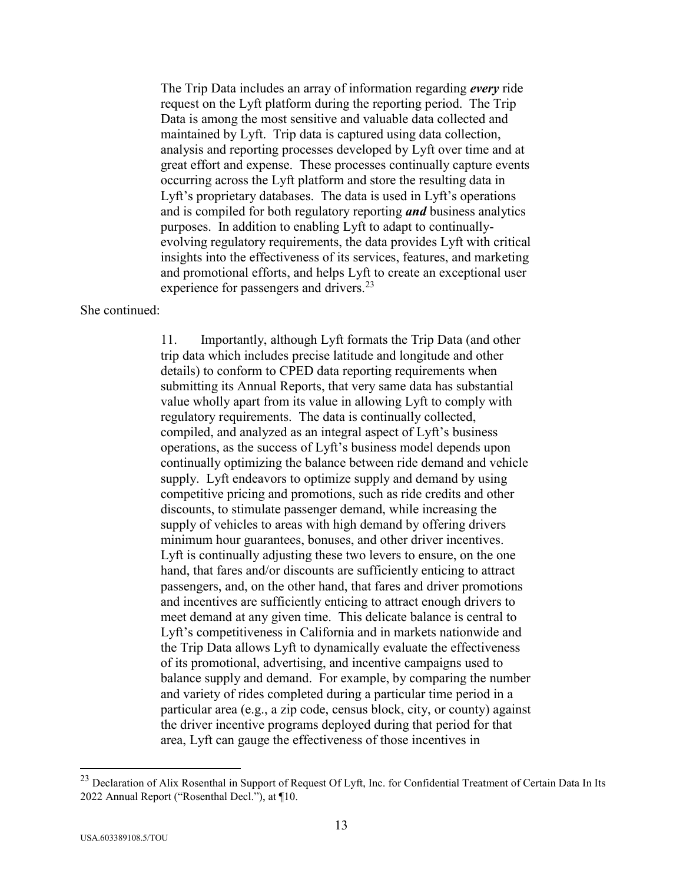The Trip Data includes an array of information regarding *every* ride request on the Lyft platform during the reporting period. The Trip Data is among the most sensitive and valuable data collected and maintained by Lyft. Trip data is captured using data collection, analysis and reporting processes developed by Lyft over time and at great effort and expense. These processes continually capture events occurring across the Lyft platform and store the resulting data in Lyft's proprietary databases. The data is used in Lyft's operations and is compiled for both regulatory reporting *and* business analytics purposes. In addition to enabling Lyft to adapt to continuallyevolving regulatory requirements, the data provides Lyft with critical insights into the effectiveness of its services, features, and marketing and promotional efforts, and helps Lyft to create an exceptional user experience for passengers and drivers.<sup>23</sup>

She continued:

11. Importantly, although Lyft formats the Trip Data (and other trip data which includes precise latitude and longitude and other details) to conform to CPED data reporting requirements when submitting its Annual Reports, that very same data has substantial value wholly apart from its value in allowing Lyft to comply with regulatory requirements. The data is continually collected, compiled, and analyzed as an integral aspect of Lyft's business operations, as the success of Lyft's business model depends upon continually optimizing the balance between ride demand and vehicle supply. Lyft endeavors to optimize supply and demand by using competitive pricing and promotions, such as ride credits and other discounts, to stimulate passenger demand, while increasing the supply of vehicles to areas with high demand by offering drivers minimum hour guarantees, bonuses, and other driver incentives. Lyft is continually adjusting these two levers to ensure, on the one hand, that fares and/or discounts are sufficiently enticing to attract passengers, and, on the other hand, that fares and driver promotions and incentives are sufficiently enticing to attract enough drivers to meet demand at any given time. This delicate balance is central to Lyft's competitiveness in California and in markets nationwide and the Trip Data allows Lyft to dynamically evaluate the effectiveness of its promotional, advertising, and incentive campaigns used to balance supply and demand. For example, by comparing the number and variety of rides completed during a particular time period in a particular area (e.g., a zip code, census block, city, or county) against the driver incentive programs deployed during that period for that area, Lyft can gauge the effectiveness of those incentives in

<sup>&</sup>lt;sup>23</sup> Declaration of Alix Rosenthal in Support of Request Of Lyft, Inc. for Confidential Treatment of Certain Data In Its 2022 Annual Report ("Rosenthal Decl."), at ¶10.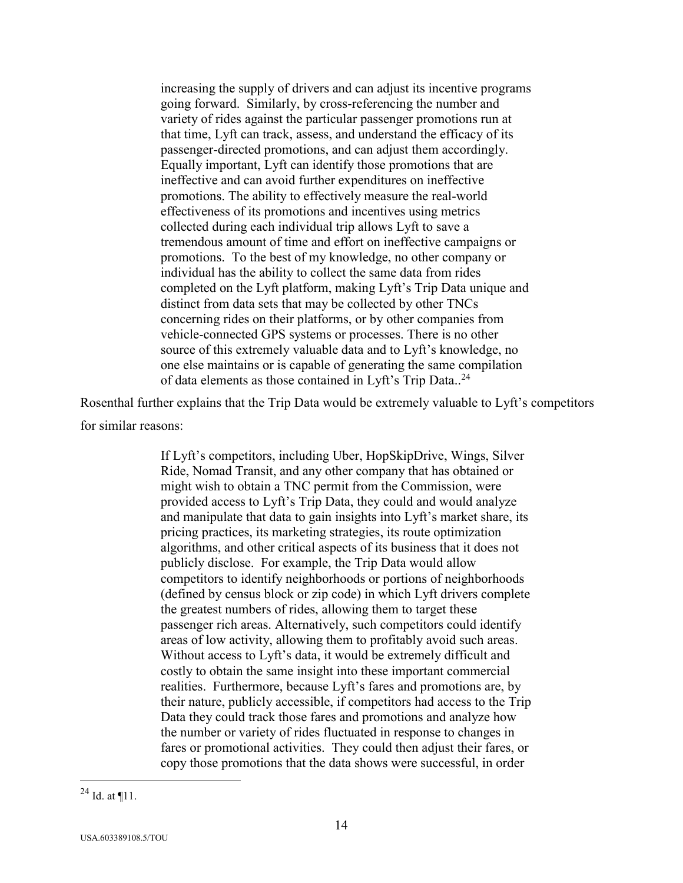increasing the supply of drivers and can adjust its incentive programs going forward. Similarly, by cross-referencing the number and variety of rides against the particular passenger promotions run at that time, Lyft can track, assess, and understand the efficacy of its passenger-directed promotions, and can adjust them accordingly. Equally important, Lyft can identify those promotions that are ineffective and can avoid further expenditures on ineffective promotions. The ability to effectively measure the real-world effectiveness of its promotions and incentives using metrics collected during each individual trip allows Lyft to save a tremendous amount of time and effort on ineffective campaigns or promotions. To the best of my knowledge, no other company or individual has the ability to collect the same data from rides completed on the Lyft platform, making Lyft's Trip Data unique and distinct from data sets that may be collected by other TNCs concerning rides on their platforms, or by other companies from vehicle-connected GPS systems or processes. There is no other source of this extremely valuable data and to Lyft's knowledge, no one else maintains or is capable of generating the same compilation of data elements as those contained in Lyft's Trip Data..<sup>24</sup>

Rosenthal further explains that the Trip Data would be extremely valuable to Lyft's competitors for similar reasons:

> If Lyft's competitors, including Uber, HopSkipDrive, Wings, Silver Ride, Nomad Transit, and any other company that has obtained or might wish to obtain a TNC permit from the Commission, were provided access to Lyft's Trip Data, they could and would analyze and manipulate that data to gain insights into Lyft's market share, its pricing practices, its marketing strategies, its route optimization algorithms, and other critical aspects of its business that it does not publicly disclose. For example, the Trip Data would allow competitors to identify neighborhoods or portions of neighborhoods (defined by census block or zip code) in which Lyft drivers complete the greatest numbers of rides, allowing them to target these passenger rich areas. Alternatively, such competitors could identify areas of low activity, allowing them to profitably avoid such areas. Without access to Lyft's data, it would be extremely difficult and costly to obtain the same insight into these important commercial realities. Furthermore, because Lyft's fares and promotions are, by their nature, publicly accessible, if competitors had access to the Trip Data they could track those fares and promotions and analyze how the number or variety of rides fluctuated in response to changes in fares or promotional activities. They could then adjust their fares, or copy those promotions that the data shows were successful, in order

 $^{24}$  Id. at ¶11.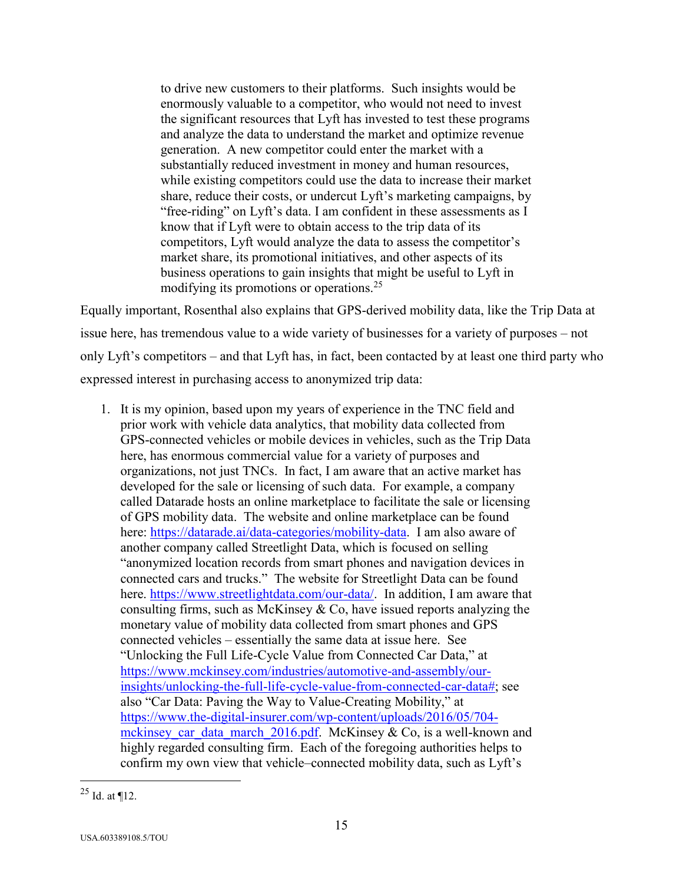to drive new customers to their platforms. Such insights would be enormously valuable to a competitor, who would not need to invest the significant resources that Lyft has invested to test these programs and analyze the data to understand the market and optimize revenue generation. A new competitor could enter the market with a substantially reduced investment in money and human resources, while existing competitors could use the data to increase their market share, reduce their costs, or undercut Lyft's marketing campaigns, by "free-riding" on Lyft's data. I am confident in these assessments as I know that if Lyft were to obtain access to the trip data of its competitors, Lyft would analyze the data to assess the competitor's market share, its promotional initiatives, and other aspects of its business operations to gain insights that might be useful to Lyft in modifying its promotions or operations.<sup>25</sup>

Equally important, Rosenthal also explains that GPS-derived mobility data, like the Trip Data at issue here, has tremendous value to a wide variety of businesses for a variety of purposes – not only Lyft's competitors – and that Lyft has, in fact, been contacted by at least one third party who expressed interest in purchasing access to anonymized trip data:

1. It is my opinion, based upon my years of experience in the TNC field and prior work with vehicle data analytics, that mobility data collected from GPS-connected vehicles or mobile devices in vehicles, such as the Trip Data here, has enormous commercial value for a variety of purposes and organizations, not just TNCs. In fact, I am aware that an active market has developed for the sale or licensing of such data. For example, a company called Datarade hosts an online marketplace to facilitate the sale or licensing of GPS mobility data. The website and online marketplace can be found here: [https://datarade.ai/data-categories/mobility-data.](https://datarade.ai/data-categories/mobility-data) I am also aware of another company called Streetlight Data, which is focused on selling "anonymized location records from smart phones and navigation devices in connected cars and trucks." The website for Streetlight Data can be found here. [https://www.streetlightdata.com/our-data/.](https://www.streetlightdata.com/our-data/) In addition, I am aware that consulting firms, such as McKinsey  $& Co$ , have issued reports analyzing the monetary value of mobility data collected from smart phones and GPS connected vehicles – essentially the same data at issue here. See "Unlocking the Full Life-Cycle Value from Connected Car Data," at [https://www.mckinsey.com/industries/automotive-and-assembly/our](https://www.mckinsey.com/industries/automotive-and-assembly/our-insights/unlocking-the-full-life-cycle-value-from-connected-car-data)[insights/unlocking-the-full-life-cycle-value-from-connected-car-data#;](https://www.mckinsey.com/industries/automotive-and-assembly/our-insights/unlocking-the-full-life-cycle-value-from-connected-car-data) see also "Car Data: Paving the Way to Value-Creating Mobility," at [https://www.the-digital-insurer.com/wp-content/uploads/2016/05/704](https://www.the-digital-insurer.com/wp-content/uploads/2016/05/704-mckinsey_car_data_march_2016.pdf) mckinsey car data march 2016.pdf. McKinsey & Co, is a well-known and highly regarded consulting firm. Each of the foregoing authorities helps to confirm my own view that vehicle–connected mobility data, such as Lyft's

 $\overline{a}$  $^{25}$  Id. at ¶12.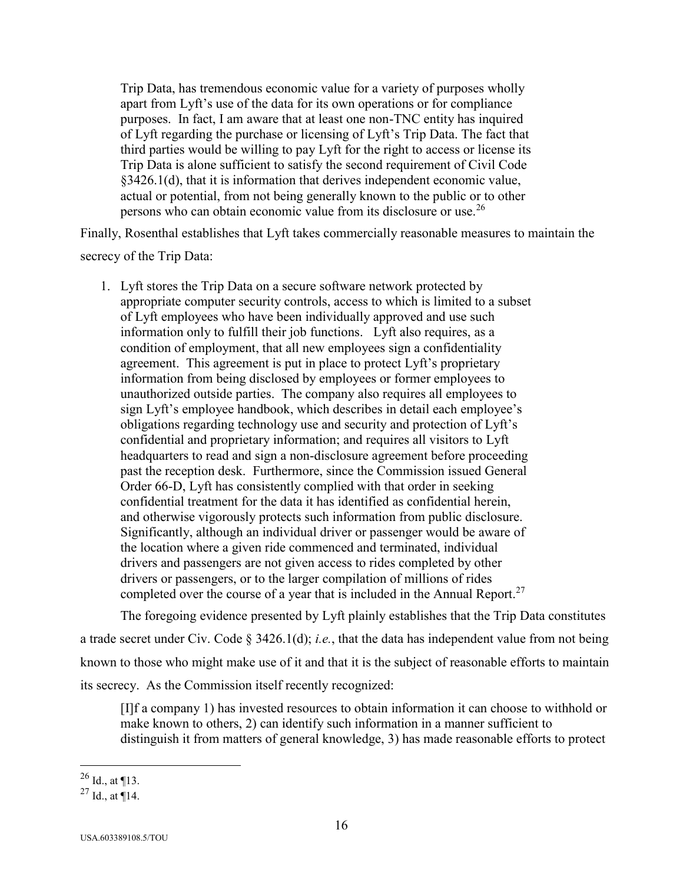Trip Data, has tremendous economic value for a variety of purposes wholly apart from Lyft's use of the data for its own operations or for compliance purposes. In fact, I am aware that at least one non-TNC entity has inquired of Lyft regarding the purchase or licensing of Lyft's Trip Data. The fact that third parties would be willing to pay Lyft for the right to access or license its Trip Data is alone sufficient to satisfy the second requirement of Civil Code §3426.1(d), that it is information that derives independent economic value, actual or potential, from not being generally known to the public or to other persons who can obtain economic value from its disclosure or use.<sup>26</sup>

Finally, Rosenthal establishes that Lyft takes commercially reasonable measures to maintain the

secrecy of the Trip Data:

1. Lyft stores the Trip Data on a secure software network protected by appropriate computer security controls, access to which is limited to a subset of Lyft employees who have been individually approved and use such information only to fulfill their job functions. Lyft also requires, as a condition of employment, that all new employees sign a confidentiality agreement. This agreement is put in place to protect Lyft's proprietary information from being disclosed by employees or former employees to unauthorized outside parties. The company also requires all employees to sign Lyft's employee handbook, which describes in detail each employee's obligations regarding technology use and security and protection of Lyft's confidential and proprietary information; and requires all visitors to Lyft headquarters to read and sign a non-disclosure agreement before proceeding past the reception desk. Furthermore, since the Commission issued General Order 66-D, Lyft has consistently complied with that order in seeking confidential treatment for the data it has identified as confidential herein, and otherwise vigorously protects such information from public disclosure. Significantly, although an individual driver or passenger would be aware of the location where a given ride commenced and terminated, individual drivers and passengers are not given access to rides completed by other drivers or passengers, or to the larger compilation of millions of rides completed over the course of a year that is included in the Annual Report.<sup>27</sup>

The foregoing evidence presented by Lyft plainly establishes that the Trip Data constitutes a trade secret under Civ. Code § 3426.1(d); *i.e.*, that the data has independent value from not being known to those who might make use of it and that it is the subject of reasonable efforts to maintain its secrecy. As the Commission itself recently recognized:

[I]f a company 1) has invested resources to obtain information it can choose to withhold or make known to others, 2) can identify such information in a manner sufficient to distinguish it from matters of general knowledge, 3) has made reasonable efforts to protect

 $^{26}$  Id., at ¶13.

 $^{27}$  Id., at ¶14.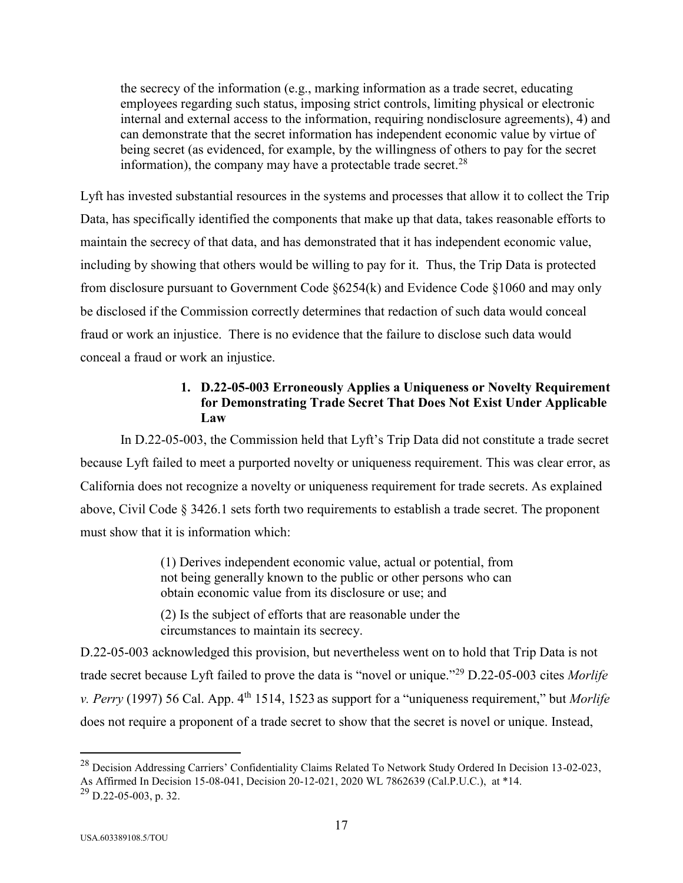the secrecy of the information (e.g., marking information as a trade secret, educating employees regarding such status, imposing strict controls, limiting physical or electronic internal and external access to the information, requiring nondisclosure agreements), 4) and can demonstrate that the secret information has independent economic value by virtue of being secret (as evidenced, for example, by the willingness of others to pay for the secret information), the company may have a protectable trade secret.<sup>28</sup>

Lyft has invested substantial resources in the systems and processes that allow it to collect the Trip Data, has specifically identified the components that make up that data, takes reasonable efforts to maintain the secrecy of that data, and has demonstrated that it has independent economic value, including by showing that others would be willing to pay for it. Thus, the Trip Data is protected from disclosure pursuant to Government Code §6254(k) and Evidence Code §1060 and may only be disclosed if the Commission correctly determines that redaction of such data would conceal fraud or work an injustice. There is no evidence that the failure to disclose such data would conceal a fraud or work an injustice.

## **1. D.22-05-003 Erroneously Applies a Uniqueness or Novelty Requirement for Demonstrating Trade Secret That Does Not Exist Under Applicable Law**

In D.22-05-003, the Commission held that Lyft's Trip Data did not constitute a trade secret because Lyft failed to meet a purported novelty or uniqueness requirement. This was clear error, as California does not recognize a novelty or uniqueness requirement for trade secrets. As explained above, Civil Code § 3426.1 sets forth two requirements to establish a trade secret. The proponent must show that it is information which:

> (1) Derives independent economic value, actual or potential, from not being generally known to the public or other persons who can obtain economic value from its disclosure or use; and

(2) Is the subject of efforts that are reasonable under the circumstances to maintain its secrecy.

D.22-05-003 acknowledged this provision, but nevertheless went on to hold that Trip Data is not trade secret because Lyft failed to prove the data is "novel or unique."<sup>29</sup> D.22-05-003 cites *Morlife v. Perry* (1997) 56 Cal. App. 4<sup>th</sup> 1514, 1523 as support for a "uniqueness requirement," but *Morlife* does not require a proponent of a trade secret to show that the secret is novel or unique. Instead,

 $^{28}$  Decision Addressing Carriers' Confidentiality Claims Related To Network Study Ordered In Decision 13-02-023, As Affirmed In Decision 15-08-041, Decision 20-12-021, 2020 WL 7862639 (Cal.P.U.C.), at \*14.

<sup>29</sup> D.22-05-003, p. 32.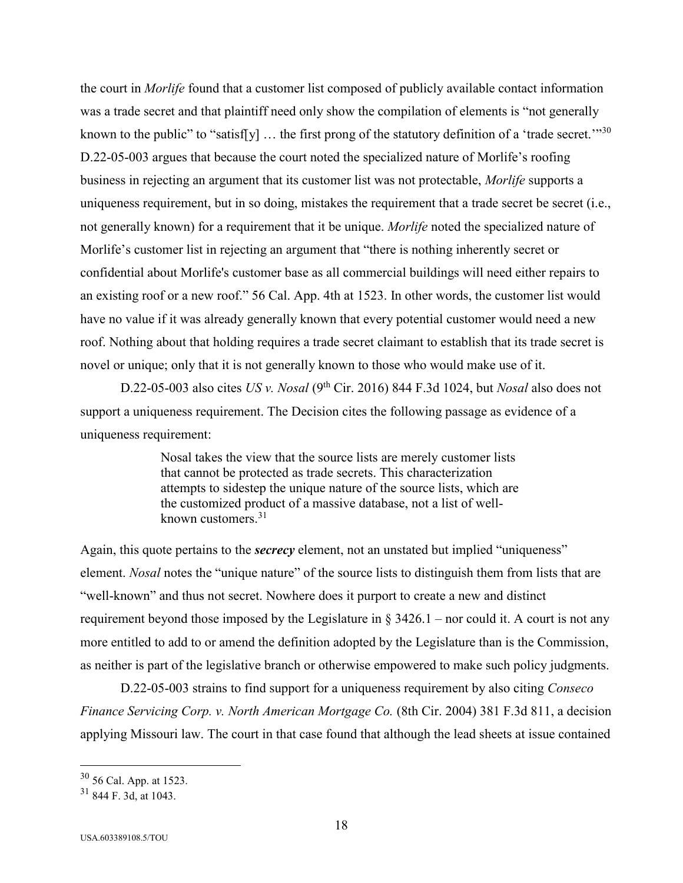the court in *Morlife* found that a customer list composed of publicly available contact information was a trade secret and that plaintiff need only show the compilation of elements is "not generally known to the public" to "satisf[y]  $\ldots$  the first prong of the statutory definition of a 'trade secret."<sup>30</sup> D.22-05-003 argues that because the court noted the specialized nature of Morlife's roofing business in rejecting an argument that its customer list was not protectable, *Morlife* supports a uniqueness requirement, but in so doing, mistakes the requirement that a trade secret be secret (i.e., not generally known) for a requirement that it be unique. *Morlife* noted the specialized nature of Morlife's customer list in rejecting an argument that "there is nothing inherently secret or confidential about Morlife's customer base as all commercial buildings will need either repairs to an existing roof or a new roof." 56 Cal. App. 4th at 1523. In other words, the customer list would have no value if it was already generally known that every potential customer would need a new roof. Nothing about that holding requires a trade secret claimant to establish that its trade secret is novel or unique; only that it is not generally known to those who would make use of it.

D.22-05-003 also cites *US v. Nosal* (9th Cir. 2016) 844 F.3d 1024, but *Nosal* also does not support a uniqueness requirement. The Decision cites the following passage as evidence of a uniqueness requirement:

> Nosal takes the view that the source lists are merely customer lists that cannot be protected as trade secrets. This characterization attempts to sidestep the unique nature of the source lists, which are the customized product of a massive database, not a list of wellknown customers.<sup>31</sup>

Again, this quote pertains to the *secrecy* element, not an unstated but implied "uniqueness" element. *Nosal* notes the "unique nature" of the source lists to distinguish them from lists that are "well-known" and thus not secret. Nowhere does it purport to create a new and distinct requirement beyond those imposed by the Legislature in § 3426.1 – nor could it. A court is not any more entitled to add to or amend the definition adopted by the Legislature than is the Commission, as neither is part of the legislative branch or otherwise empowered to make such policy judgments.

D.22-05-003 strains to find support for a uniqueness requirement by also citing *Conseco Finance Servicing Corp. v. North American Mortgage Co.* (8th Cir. 2004) 381 F.3d 811, a decision applying Missouri law. The court in that case found that although the lead sheets at issue contained

<sup>30</sup> 56 Cal. App. at 1523.

 $31$  844 F. 3d, at 1043.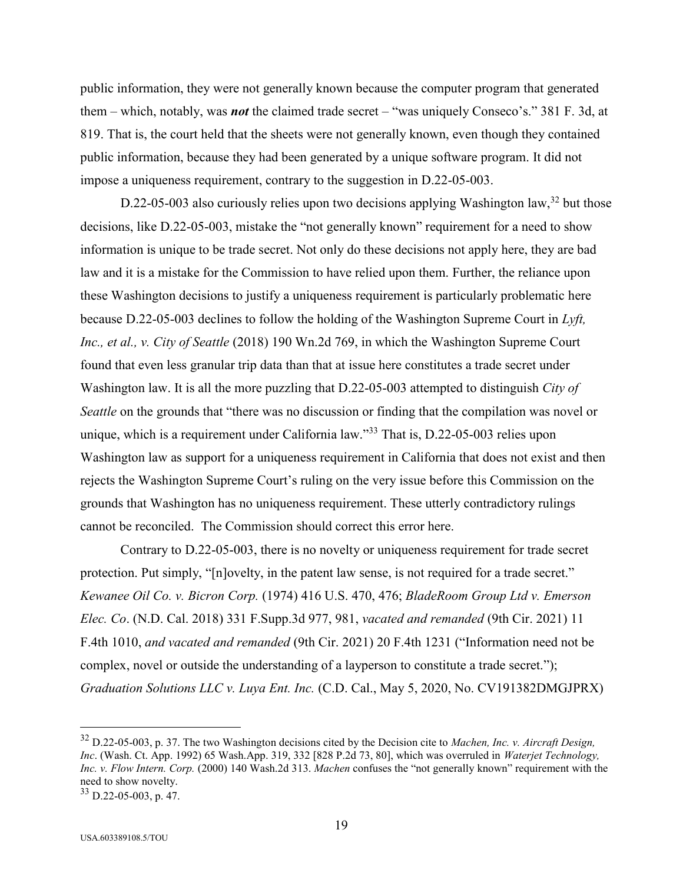public information, they were not generally known because the computer program that generated them – which, notably, was *not* the claimed trade secret – "was uniquely Conseco's." 381 F. 3d, at 819. That is, the court held that the sheets were not generally known, even though they contained public information, because they had been generated by a unique software program. It did not impose a uniqueness requirement, contrary to the suggestion in D.22-05-003.

D.22-05-003 also curiously relies upon two decisions applying Washington law,  $32$  but those decisions, like D.22-05-003, mistake the "not generally known" requirement for a need to show information is unique to be trade secret. Not only do these decisions not apply here, they are bad law and it is a mistake for the Commission to have relied upon them. Further, the reliance upon these Washington decisions to justify a uniqueness requirement is particularly problematic here because D.22-05-003 declines to follow the holding of the Washington Supreme Court in *Lyft, Inc., et al., v. City of Seattle* (2018) 190 Wn.2d 769, in which the Washington Supreme Court found that even less granular trip data than that at issue here constitutes a trade secret under Washington law. It is all the more puzzling that D.22-05-003 attempted to distinguish *City of Seattle* on the grounds that "there was no discussion or finding that the compilation was novel or unique, which is a requirement under California law."<sup>33</sup> That is, D.22-05-003 relies upon Washington law as support for a uniqueness requirement in California that does not exist and then rejects the Washington Supreme Court's ruling on the very issue before this Commission on the grounds that Washington has no uniqueness requirement. These utterly contradictory rulings cannot be reconciled. The Commission should correct this error here.

Contrary to D.22-05-003, there is no novelty or uniqueness requirement for trade secret protection. Put simply, "[n]ovelty, in the patent law sense, is not required for a trade secret." *Kewanee Oil Co. v. Bicron Corp.* (1974) 416 U.S. 470, 476; *BladeRoom Group Ltd v. Emerson Elec. Co*. (N.D. Cal. 2018) 331 F.Supp.3d 977, 981, *vacated and remanded* (9th Cir. 2021) 11 F.4th 1010, *and vacated and remanded* (9th Cir. 2021) 20 F.4th 1231 ("Information need not be complex, novel or outside the understanding of a layperson to constitute a trade secret."); *Graduation Solutions LLC v. Luya Ent. Inc.* (C.D. Cal., May 5, 2020, No. CV191382DMGJPRX)

<sup>32</sup> D.22-05-003, p. 37. The two Washington decisions cited by the Decision cite to *Machen, Inc. v. Aircraft Design, Inc*. (Wash. Ct. App. 1992) 65 Wash.App. 319, 332 [828 P.2d 73, 80], which was overruled in *Waterjet Technology, Inc. v. Flow Intern. Corp.* (2000) 140 Wash.2d 313. *Machen* confuses the "not generally known" requirement with the need to show novelty.

<sup>33</sup> D.22-05-003, p. 47.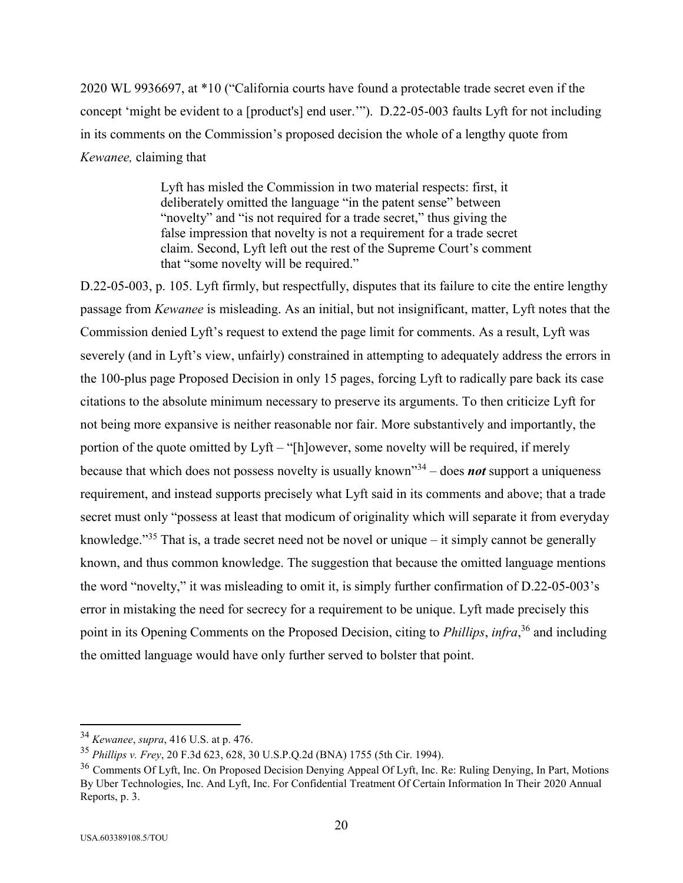2020 WL 9936697, at \*10 ("California courts have found a protectable trade secret even if the concept 'might be evident to a [product's] end user.'"). D.22-05-003 faults Lyft for not including in its comments on the Commission's proposed decision the whole of a lengthy quote from *Kewanee,* claiming that

> Lyft has misled the Commission in two material respects: first, it deliberately omitted the language "in the patent sense" between "novelty" and "is not required for a trade secret," thus giving the false impression that novelty is not a requirement for a trade secret claim. Second, Lyft left out the rest of the Supreme Court's comment that "some novelty will be required."

D.22-05-003, p. 105. Lyft firmly, but respectfully, disputes that its failure to cite the entire lengthy passage from *Kewanee* is misleading. As an initial, but not insignificant, matter, Lyft notes that the Commission denied Lyft's request to extend the page limit for comments. As a result, Lyft was severely (and in Lyft's view, unfairly) constrained in attempting to adequately address the errors in the 100-plus page Proposed Decision in only 15 pages, forcing Lyft to radically pare back its case citations to the absolute minimum necessary to preserve its arguments. To then criticize Lyft for not being more expansive is neither reasonable nor fair. More substantively and importantly, the portion of the quote omitted by Lyft – "[h]owever, some novelty will be required, if merely because that which does not possess novelty is usually known"<sup>34</sup> – does *not* support a uniqueness requirement, and instead supports precisely what Lyft said in its comments and above; that a trade secret must only "possess at least that modicum of originality which will separate it from everyday knowledge."<sup>35</sup> That is, a trade secret need not be novel or unique – it simply cannot be generally known, and thus common knowledge. The suggestion that because the omitted language mentions the word "novelty," it was misleading to omit it, is simply further confirmation of D.22-05-003's error in mistaking the need for secrecy for a requirement to be unique. Lyft made precisely this point in its Opening Comments on the Proposed Decision, citing to *Phillips*, *infra*, <sup>36</sup> and including the omitted language would have only further served to bolster that point.

<sup>34</sup> *Kewanee*, *supra*, 416 U.S. at p. 476.

<sup>35</sup> *Phillips v. Frey*, 20 F.3d 623, 628, 30 U.S.P.Q.2d (BNA) 1755 (5th Cir. 1994).

<sup>&</sup>lt;sup>36</sup> Comments Of Lyft, Inc. On Proposed Decision Denying Appeal Of Lyft, Inc. Re: Ruling Denying, In Part, Motions By Uber Technologies, Inc. And Lyft, Inc. For Confidential Treatment Of Certain Information In Their 2020 Annual Reports, p. 3.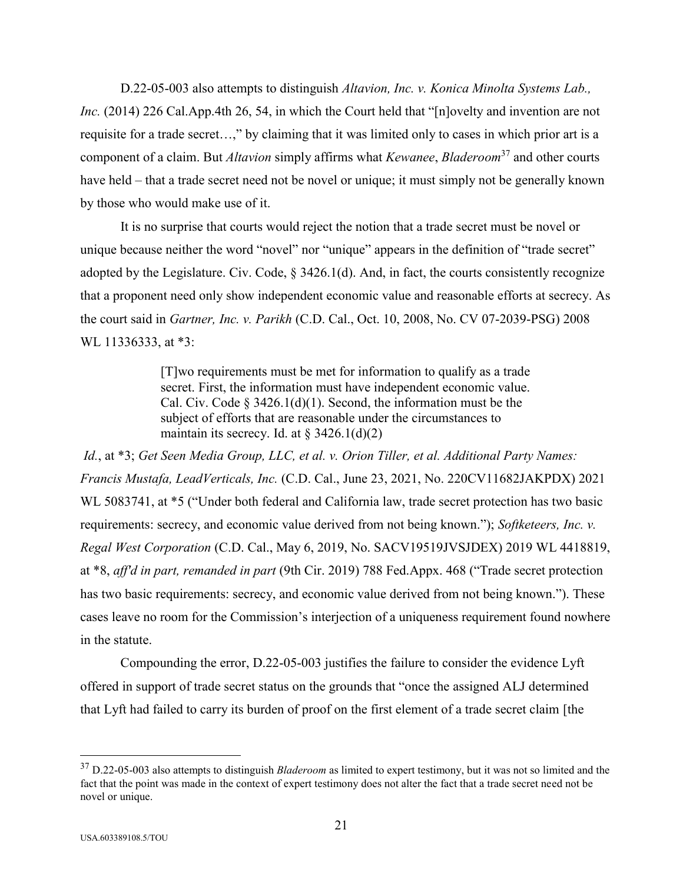D.22-05-003 also attempts to distinguish *Altavion, Inc. v. Konica Minolta Systems Lab., Inc.* (2014) 226 Cal.App.4th 26, 54, in which the Court held that "[n]ovelty and invention are not requisite for a trade secret…," by claiming that it was limited only to cases in which prior art is a component of a claim. But *Altavion* simply affirms what *Kewanee*, *Bladeroom*<sup>37</sup> and other courts have held – that a trade secret need not be novel or unique; it must simply not be generally known by those who would make use of it.

It is no surprise that courts would reject the notion that a trade secret must be novel or unique because neither the word "novel" nor "unique" appears in the definition of "trade secret" adopted by the Legislature. Civ. Code, § 3426.1(d). And, in fact, the courts consistently recognize that a proponent need only show independent economic value and reasonable efforts at secrecy. As the court said in *Gartner, Inc. v. Parikh* (C.D. Cal., Oct. 10, 2008, No. CV 07-2039-PSG) 2008 WL 11336333, at \*3:

> [T]wo requirements must be met for information to qualify as a trade secret. First, the information must have independent economic value. Cal. Civ. Code § 3426.1(d)(1). Second, the information must be the subject of efforts that are reasonable under the circumstances to maintain its secrecy. Id. at  $\S 3426.1(d)(2)$

*Id.*, at \*3; *Get Seen Media Group, LLC, et al. v. Orion Tiller, et al. Additional Party Names: Francis Mustafa, LeadVerticals, Inc.* (C.D. Cal., June 23, 2021, No. 220CV11682JAKPDX) 2021 WL 5083741, at \*5 ("Under both federal and California law, trade secret protection has two basic requirements: secrecy, and economic value derived from not being known."); *Softketeers, Inc. v. Regal West Corporation* (C.D. Cal., May 6, 2019, No. SACV19519JVSJDEX) 2019 WL 4418819, at \*8, *aff'd in part, remanded in part* (9th Cir. 2019) 788 Fed.Appx. 468 ("Trade secret protection has two basic requirements: secrecy, and economic value derived from not being known."). These cases leave no room for the Commission's interjection of a uniqueness requirement found nowhere in the statute.

Compounding the error, D.22-05-003 justifies the failure to consider the evidence Lyft offered in support of trade secret status on the grounds that "once the assigned ALJ determined that Lyft had failed to carry its burden of proof on the first element of a trade secret claim [the

<sup>37</sup> D.22-05-003 also attempts to distinguish *Bladeroom* as limited to expert testimony, but it was not so limited and the fact that the point was made in the context of expert testimony does not alter the fact that a trade secret need not be novel or unique.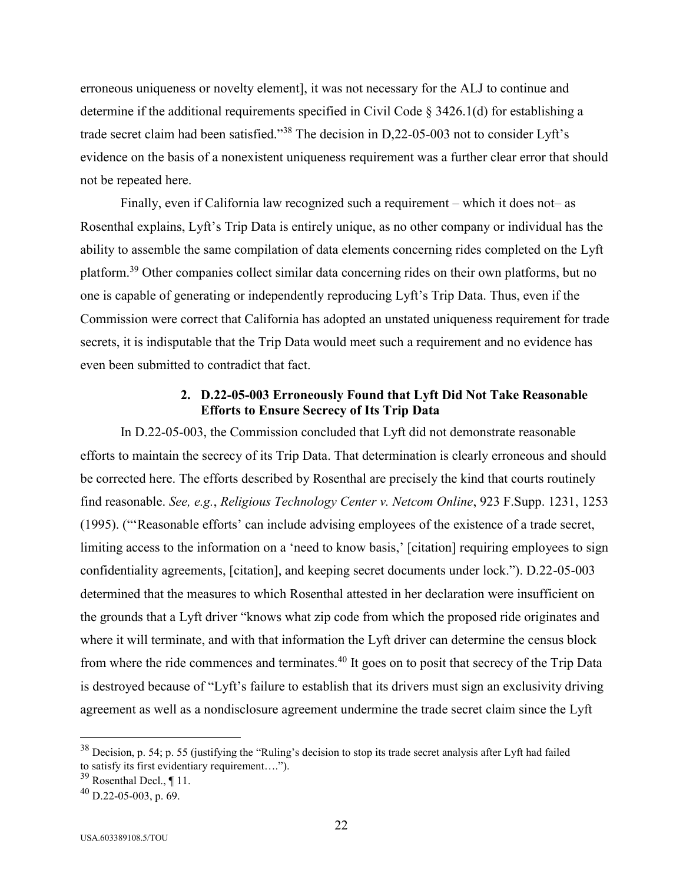erroneous uniqueness or novelty element], it was not necessary for the ALJ to continue and determine if the additional requirements specified in Civil Code § 3426.1(d) for establishing a trade secret claim had been satisfied."<sup>38</sup> The decision in D,22-05-003 not to consider Lyft's evidence on the basis of a nonexistent uniqueness requirement was a further clear error that should not be repeated here.

Finally, even if California law recognized such a requirement – which it does not– as Rosenthal explains, Lyft's Trip Data is entirely unique, as no other company or individual has the ability to assemble the same compilation of data elements concerning rides completed on the Lyft platform.<sup>39</sup> Other companies collect similar data concerning rides on their own platforms, but no one is capable of generating or independently reproducing Lyft's Trip Data. Thus, even if the Commission were correct that California has adopted an unstated uniqueness requirement for trade secrets, it is indisputable that the Trip Data would meet such a requirement and no evidence has even been submitted to contradict that fact.

#### **2. D.22-05-003 Erroneously Found that Lyft Did Not Take Reasonable Efforts to Ensure Secrecy of Its Trip Data**

In D.22-05-003, the Commission concluded that Lyft did not demonstrate reasonable efforts to maintain the secrecy of its Trip Data. That determination is clearly erroneous and should be corrected here. The efforts described by Rosenthal are precisely the kind that courts routinely find reasonable. *See, e.g.*, *Religious Technology Center v. Netcom Online*, 923 F.Supp. 1231, 1253 (1995). ("'Reasonable efforts' can include advising employees of the existence of a trade secret, limiting access to the information on a 'need to know basis,' [citation] requiring employees to sign confidentiality agreements, [citation], and keeping secret documents under lock."). D.22-05-003 determined that the measures to which Rosenthal attested in her declaration were insufficient on the grounds that a Lyft driver "knows what zip code from which the proposed ride originates and where it will terminate, and with that information the Lyft driver can determine the census block from where the ride commences and terminates.<sup>40</sup> It goes on to posit that secrecy of the Trip Data is destroyed because of "Lyft's failure to establish that its drivers must sign an exclusivity driving agreement as well as a nondisclosure agreement undermine the trade secret claim since the Lyft

 $38$  Decision, p. 54; p. 55 (justifying the "Ruling's decision to stop its trade secret analysis after Lyft had failed to satisfy its first evidentiary requirement….").

 $39$  Rosenthal Decl., ¶ 11.

 $^{40}$  D.22-05-003, p. 69.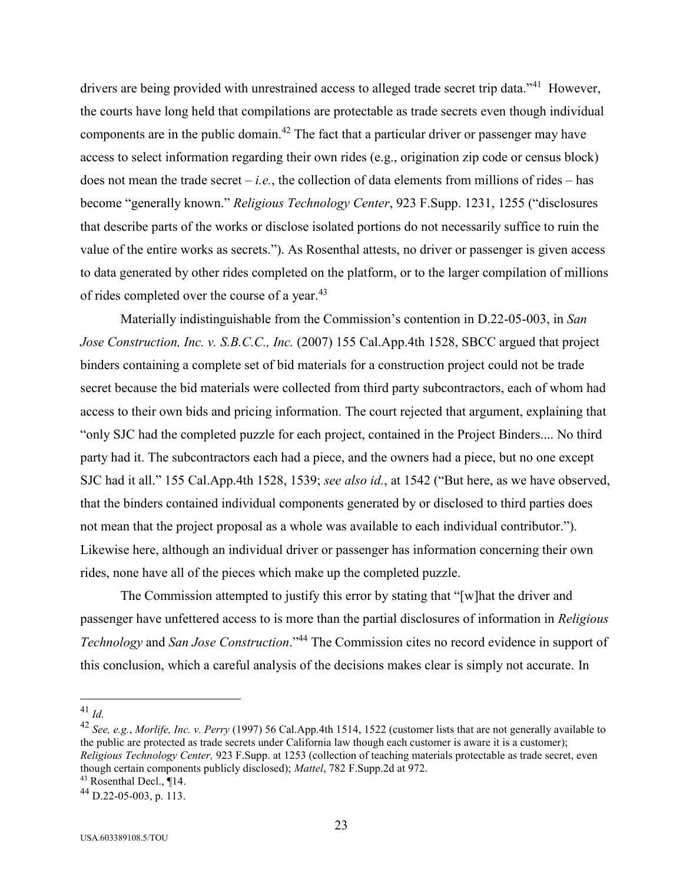drivers are being provided with unrestrained access to alleged trade secret trip data."<sup>41</sup> However, the courts have long held that compilations are protectable as trade secrets even though individual components are in the public domain.<sup>42</sup> The fact that a particular driver or passenger may have access to select information regarding their own rides (e.g., origination zip code or census block) does not mean the trade secret – *i.e.*, the collection of data elements from millions of rides – has become "generally known." *Religious Technology Center*, 923 F.Supp. 1231, 1255 ("disclosures that describe parts of the works or disclose isolated portions do not necessarily suffice to ruin the value of the entire works as secrets."). As Rosenthal attests, no driver or passenger is given access to data generated by other rides completed on the platform, or to the larger compilation of millions of rides completed over the course of a year.<sup>43</sup>

Materially indistinguishable from the Commission's contention in D.22-05-003, in *San Jose Construction, Inc. v. S.B.C.C., Inc.* (2007) 155 Cal.App.4th 1528, SBCC argued that project binders containing a complete set of bid materials for a construction project could not be trade secret because the bid materials were collected from third party subcontractors, each of whom had access to their own bids and pricing information. The court rejected that argument, explaining that "only SJC had the completed puzzle for each project, contained in the Project Binders.... No third party had it. The subcontractors each had a piece, and the owners had a piece, but no one except SJC had it all." 155 Cal.App.4th 1528, 1539; *see also id.*, at 1542 ("But here, as we have observed, that the binders contained individual components generated by or disclosed to third parties does not mean that the project proposal as a whole was available to each individual contributor."). Likewise here, although an individual driver or passenger has information concerning their own rides, none have all of the pieces which make up the completed puzzle.

The Commission attempted to justify this error by stating that "[w]hat the driver and passenger have unfettered access to is more than the partial disclosures of information in *Religious Technology* and *San Jose Construction*."<sup>44</sup> The Commission cites no record evidence in support of this conclusion, which a careful analysis of the decisions makes clear is simply not accurate. In

 $\overline{a}$ 

<sup>42</sup> *See, e.g.*, *Morlife, Inc. v. Perry* (1997) 56 Cal.App.4th 1514, 1522 (customer lists that are not generally available to the public are protected as trade secrets under California law though each customer is aware it is a customer); *Religious Technology Center,* 923 F.Supp. at 1253 (collection of teaching materials protectable as trade secret, even though certain components publicly disclosed); *Mattel*, 782 F.Supp.2d at 972.

<sup>43</sup> Rosenthal Decl., ¶14.

<sup>41</sup> *Id.*

<sup>44</sup> D.22-05-003, p. 113.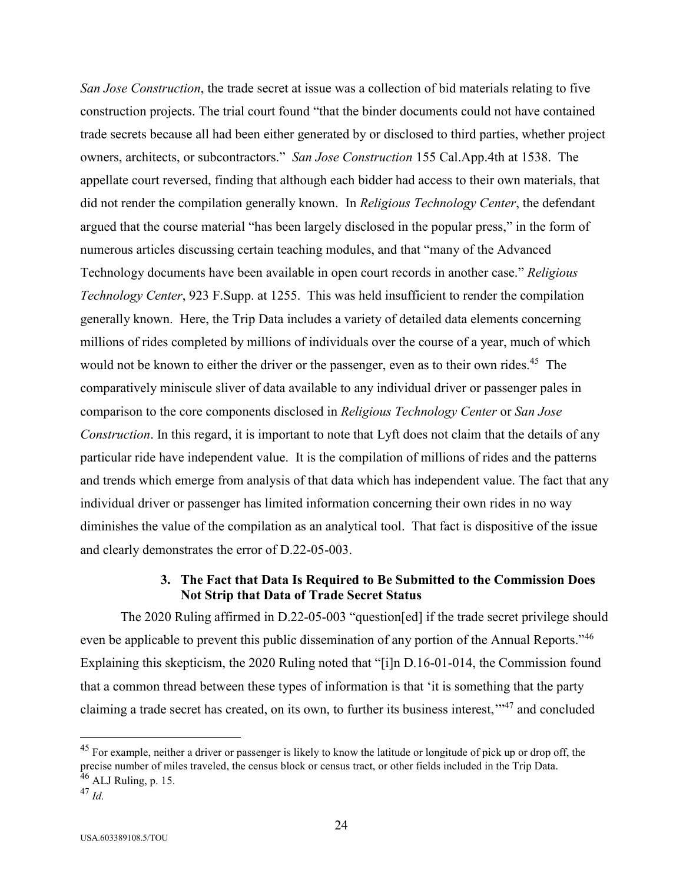*San Jose Construction*, the trade secret at issue was a collection of bid materials relating to five construction projects. The trial court found "that the binder documents could not have contained trade secrets because all had been either generated by or disclosed to third parties, whether project owners, architects, or subcontractors." *San Jose Construction* 155 Cal.App.4th at 1538. The appellate court reversed, finding that although each bidder had access to their own materials, that did not render the compilation generally known. In *Religious Technology Center*, the defendant argued that the course material "has been largely disclosed in the popular press," in the form of numerous articles discussing certain teaching modules, and that "many of the Advanced Technology documents have been available in open court records in another case." *Religious Technology Center*, 923 F.Supp. at 1255. This was held insufficient to render the compilation generally known. Here, the Trip Data includes a variety of detailed data elements concerning millions of rides completed by millions of individuals over the course of a year, much of which would not be known to either the driver or the passenger, even as to their own rides.<sup>45</sup> The comparatively miniscule sliver of data available to any individual driver or passenger pales in comparison to the core components disclosed in *Religious Technology Center* or *San Jose Construction*. In this regard, it is important to note that Lyft does not claim that the details of any particular ride have independent value. It is the compilation of millions of rides and the patterns and trends which emerge from analysis of that data which has independent value. The fact that any individual driver or passenger has limited information concerning their own rides in no way diminishes the value of the compilation as an analytical tool. That fact is dispositive of the issue and clearly demonstrates the error of D.22-05-003.

# **3. The Fact that Data Is Required to Be Submitted to the Commission Does Not Strip that Data of Trade Secret Status**

The 2020 Ruling affirmed in D.22-05-003 "question[ed] if the trade secret privilege should even be applicable to prevent this public dissemination of any portion of the Annual Reports."<sup>46</sup> Explaining this skepticism, the 2020 Ruling noted that "[i]n D.16-01-014, the Commission found that a common thread between these types of information is that 'it is something that the party claiming a trade secret has created, on its own, to further its business interest,"<sup>47</sup> and concluded

 $^{45}$  For example, neither a driver or passenger is likely to know the latitude or longitude of pick up or drop off, the precise number of miles traveled, the census block or census tract, or other fields included in the Trip Data.  $46$  ALJ Ruling, p. 15.

<sup>47</sup> *Id.*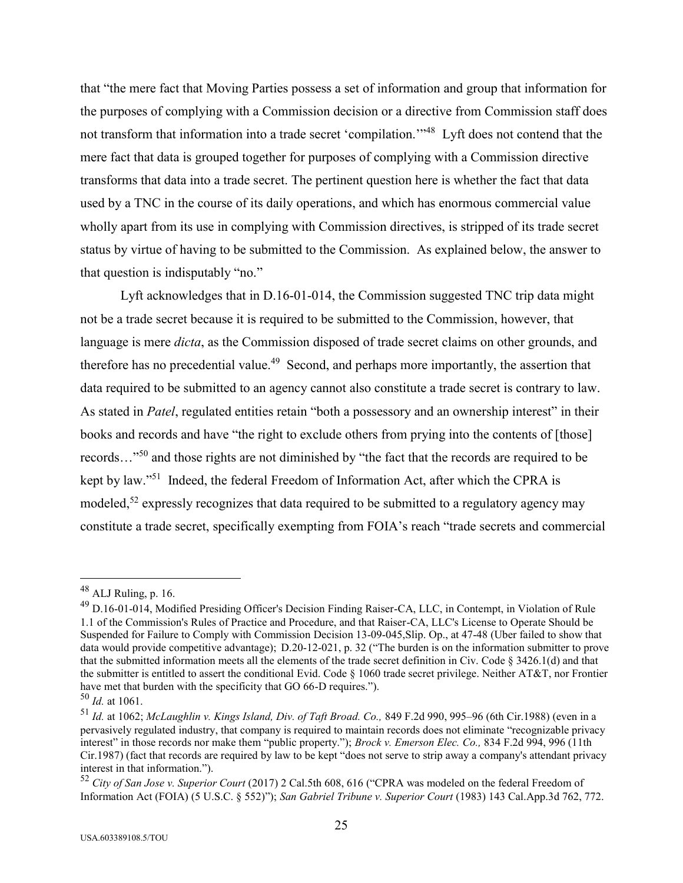that "the mere fact that Moving Parties possess a set of information and group that information for the purposes of complying with a Commission decision or a directive from Commission staff does not transform that information into a trade secret 'compilation."<sup>48</sup> Lyft does not contend that the mere fact that data is grouped together for purposes of complying with a Commission directive transforms that data into a trade secret. The pertinent question here is whether the fact that data used by a TNC in the course of its daily operations, and which has enormous commercial value wholly apart from its use in complying with Commission directives, is stripped of its trade secret status by virtue of having to be submitted to the Commission. As explained below, the answer to that question is indisputably "no."

Lyft acknowledges that in D.16-01-014, the Commission suggested TNC trip data might not be a trade secret because it is required to be submitted to the Commission, however, that language is mere *dicta*, as the Commission disposed of trade secret claims on other grounds, and therefore has no precedential value.<sup>49</sup> Second, and perhaps more importantly, the assertion that data required to be submitted to an agency cannot also constitute a trade secret is contrary to law. As stated in *Patel*, regulated entities retain "both a possessory and an ownership interest" in their books and records and have "the right to exclude others from prying into the contents of [those] records…"<sup>50</sup> and those rights are not diminished by "the fact that the records are required to be kept by law."<sup>51</sup> Indeed, the federal Freedom of Information Act, after which the CPRA is modeled,<sup>52</sup> expressly recognizes that data required to be submitted to a regulatory agency may constitute a trade secret, specifically exempting from FOIA's reach "trade secrets and commercial

 $48$  ALJ Ruling, p. 16.

<sup>49</sup> D.16-01-014, Modified Presiding Officer's Decision Finding Raiser-CA, LLC, in Contempt, in Violation of Rule 1.1 of the Commission's Rules of Practice and Procedure, and that Raiser-CA, LLC's License to Operate Should be Suspended for Failure to Comply with Commission Decision 13-09-045,Slip. Op., at 47-48 (Uber failed to show that data would provide competitive advantage); D.20-12-021, p. 32 ("The burden is on the information submitter to prove that the submitted information meets all the elements of the trade secret definition in Civ. Code § 3426.1(d) and that the submitter is entitled to assert the conditional Evid. Code  $\S$  1060 trade secret privilege. Neither AT&T, nor Frontier have met that burden with the specificity that GO 66-D requires.").

<sup>50</sup> *Id.* at 1061.

<sup>51</sup> *Id.* at 1062; *McLaughlin v. Kings Island, Div. of Taft Broad. Co.,* 849 F.2d 990, 995–96 (6th Cir.1988) (even in a pervasively regulated industry, that company is required to maintain records does not eliminate "recognizable privacy interest" in those records nor make them "public property."); *Brock v. Emerson Elec. Co.,* 834 F.2d 994, 996 (11th Cir.1987) (fact that records are required by law to be kept "does not serve to strip away a company's attendant privacy interest in that information.").

<sup>52</sup> *City of San Jose v. Superior Court* (2017) 2 Cal.5th 608, 616 ("CPRA was modeled on the federal Freedom of Information Act (FOIA) (5 U.S.C. § 552)"); *San Gabriel Tribune v. Superior Court* (1983) 143 Cal.App.3d 762, 772.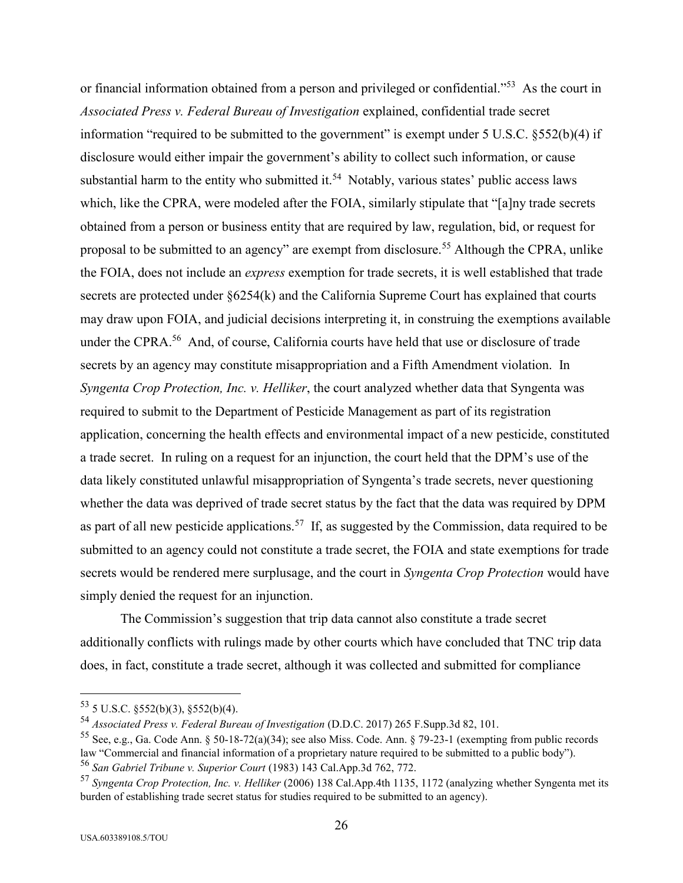or financial information obtained from a person and privileged or confidential."<sup>53</sup> As the court in *Associated Press v. Federal Bureau of Investigation* explained, confidential trade secret information "required to be submitted to the government" is exempt under 5 U.S.C. §552(b)(4) if disclosure would either impair the government's ability to collect such information, or cause substantial harm to the entity who submitted it.<sup>54</sup> Notably, various states' public access laws which, like the CPRA, were modeled after the FOIA, similarly stipulate that "[a]ny trade secrets obtained from a person or business entity that are required by law, regulation, bid, or request for proposal to be submitted to an agency" are exempt from disclosure.<sup>55</sup> Although the CPRA, unlike the FOIA, does not include an *express* exemption for trade secrets, it is well established that trade secrets are protected under §6254(k) and the California Supreme Court has explained that courts may draw upon FOIA, and judicial decisions interpreting it, in construing the exemptions available under the CPRA.<sup>56</sup> And, of course, California courts have held that use or disclosure of trade secrets by an agency may constitute misappropriation and a Fifth Amendment violation. In *Syngenta Crop Protection, Inc. v. Helliker*, the court analyzed whether data that Syngenta was required to submit to the Department of Pesticide Management as part of its registration application, concerning the health effects and environmental impact of a new pesticide, constituted a trade secret. In ruling on a request for an injunction, the court held that the DPM's use of the data likely constituted unlawful misappropriation of Syngenta's trade secrets, never questioning whether the data was deprived of trade secret status by the fact that the data was required by DPM as part of all new pesticide applications.<sup>57</sup> If, as suggested by the Commission, data required to be submitted to an agency could not constitute a trade secret, the FOIA and state exemptions for trade secrets would be rendered mere surplusage, and the court in *Syngenta Crop Protection* would have simply denied the request for an injunction.

The Commission's suggestion that trip data cannot also constitute a trade secret additionally conflicts with rulings made by other courts which have concluded that TNC trip data does, in fact, constitute a trade secret, although it was collected and submitted for compliance

 $53$  5 U.S.C. §552(b)(3), §552(b)(4).

<sup>54</sup> *Associated Press v. Federal Bureau of Investigation* (D.D.C. 2017) 265 F.Supp.3d 82, 101.

<sup>&</sup>lt;sup>55</sup> See, e.g., Ga. Code Ann. § 50-18-72(a)(34); see also Miss. Code. Ann. § 79-23-1 (exempting from public records law "Commercial and financial information of a proprietary nature required to be submitted to a public body"). <sup>56</sup> *San Gabriel Tribune v. Superior Court* (1983) 143 Cal.App.3d 762, 772.

<sup>57</sup> *Syngenta Crop Protection, Inc. v. Helliker* (2006) 138 Cal.App.4th 1135, 1172 (analyzing whether Syngenta met its burden of establishing trade secret status for studies required to be submitted to an agency).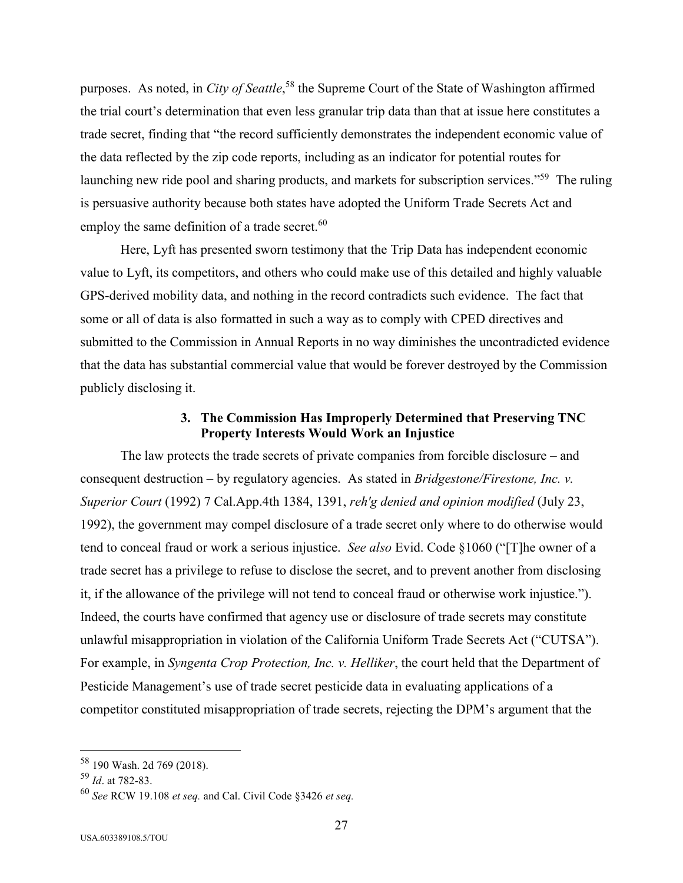purposes. As noted, in *City of Seattle*, <sup>58</sup> the Supreme Court of the State of Washington affirmed the trial court's determination that even less granular trip data than that at issue here constitutes a trade secret, finding that "the record sufficiently demonstrates the independent economic value of the data reflected by the zip code reports, including as an indicator for potential routes for launching new ride pool and sharing products, and markets for subscription services."<sup>59</sup> The ruling is persuasive authority because both states have adopted the Uniform Trade Secrets Act and employ the same definition of a trade secret.<sup>60</sup>

Here, Lyft has presented sworn testimony that the Trip Data has independent economic value to Lyft, its competitors, and others who could make use of this detailed and highly valuable GPS-derived mobility data, and nothing in the record contradicts such evidence. The fact that some or all of data is also formatted in such a way as to comply with CPED directives and submitted to the Commission in Annual Reports in no way diminishes the uncontradicted evidence that the data has substantial commercial value that would be forever destroyed by the Commission publicly disclosing it.

### **3. The Commission Has Improperly Determined that Preserving TNC Property Interests Would Work an Injustice**

The law protects the trade secrets of private companies from forcible disclosure – and consequent destruction – by regulatory agencies. As stated in *Bridgestone/Firestone, Inc. v. Superior Court* (1992) 7 Cal.App.4th 1384, 1391, *reh'g denied and opinion modified* (July 23, 1992), the government may compel disclosure of a trade secret only where to do otherwise would tend to conceal fraud or work a serious injustice. *See also* Evid. Code §1060 ("[T]he owner of a trade secret has a privilege to refuse to disclose the secret, and to prevent another from disclosing it, if the allowance of the privilege will not tend to conceal fraud or otherwise work injustice."). Indeed, the courts have confirmed that agency use or disclosure of trade secrets may constitute unlawful misappropriation in violation of the California Uniform Trade Secrets Act ("CUTSA"). For example, in *Syngenta Crop Protection, Inc. v. Helliker*, the court held that the Department of Pesticide Management's use of trade secret pesticide data in evaluating applications of a competitor constituted misappropriation of trade secrets, rejecting the DPM's argument that the

<sup>58</sup> 190 Wash. 2d 769 (2018).

<sup>59</sup> *Id*. at 782-83.

<sup>60</sup> *See* RCW 19.108 *et seq.* and Cal. Civil Code §3426 *et seq.*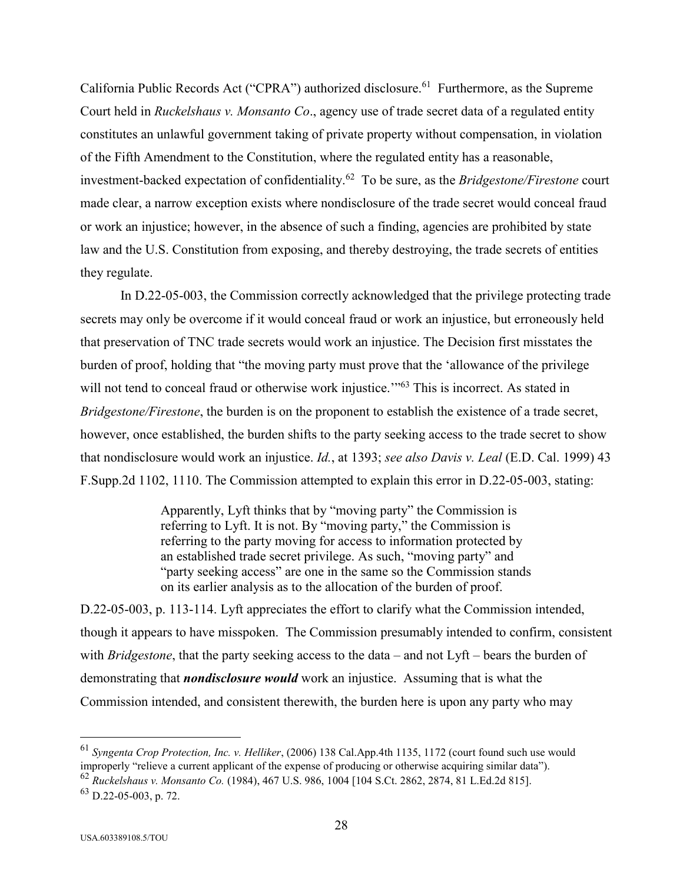California Public Records Act ("CPRA") authorized disclosure.<sup>61</sup> Furthermore, as the Supreme Court held in *Ruckelshaus v. Monsanto Co*., agency use of trade secret data of a regulated entity constitutes an unlawful government taking of private property without compensation, in violation of the Fifth Amendment to the Constitution, where the regulated entity has a reasonable, investment-backed expectation of confidentiality.<sup>62</sup> To be sure, as the *Bridgestone/Firestone* court made clear, a narrow exception exists where nondisclosure of the trade secret would conceal fraud or work an injustice; however, in the absence of such a finding, agencies are prohibited by state law and the U.S. Constitution from exposing, and thereby destroying, the trade secrets of entities they regulate.

In D.22-05-003, the Commission correctly acknowledged that the privilege protecting trade secrets may only be overcome if it would conceal fraud or work an injustice, but erroneously held that preservation of TNC trade secrets would work an injustice. The Decision first misstates the burden of proof, holding that "the moving party must prove that the 'allowance of the privilege will not tend to conceal fraud or otherwise work injustice."<sup>63</sup> This is incorrect. As stated in *Bridgestone/Firestone*, the burden is on the proponent to establish the existence of a trade secret, however, once established, the burden shifts to the party seeking access to the trade secret to show that nondisclosure would work an injustice. *Id.*, at 1393; *see also Davis v. Leal* (E.D. Cal. 1999) 43 F.Supp.2d 1102, 1110. The Commission attempted to explain this error in D.22-05-003, stating:

> Apparently, Lyft thinks that by "moving party" the Commission is referring to Lyft. It is not. By "moving party," the Commission is referring to the party moving for access to information protected by an established trade secret privilege. As such, "moving party" and "party seeking access" are one in the same so the Commission stands on its earlier analysis as to the allocation of the burden of proof.

D.22-05-003, p. 113-114. Lyft appreciates the effort to clarify what the Commission intended, though it appears to have misspoken. The Commission presumably intended to confirm, consistent with *Bridgestone*, that the party seeking access to the data – and not Lyft – bears the burden of demonstrating that *nondisclosure would* work an injustice. Assuming that is what the Commission intended, and consistent therewith, the burden here is upon any party who may

<sup>61</sup> *Syngenta Crop Protection, Inc. v. Helliker*, (2006) 138 Cal.App.4th 1135, 1172 (court found such use would improperly "relieve a current applicant of the expense of producing or otherwise acquiring similar data").

<sup>62</sup> *Ruckelshaus v. Monsanto Co.* (1984), 467 U.S. 986, 1004 [104 S.Ct. 2862, 2874, 81 L.Ed.2d 815].

 $^{63}$  D.22-05-003, p. 72.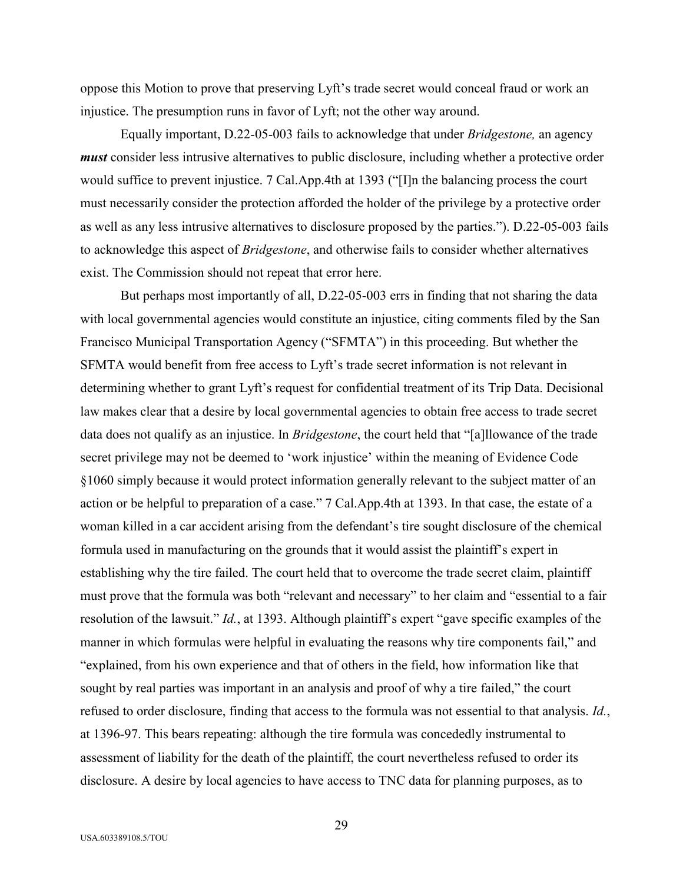oppose this Motion to prove that preserving Lyft's trade secret would conceal fraud or work an injustice. The presumption runs in favor of Lyft; not the other way around.

Equally important, D.22-05-003 fails to acknowledge that under *Bridgestone,* an agency *must* consider less intrusive alternatives to public disclosure, including whether a protective order would suffice to prevent injustice. 7 Cal.App.4th at 1393 ("[I]n the balancing process the court must necessarily consider the protection afforded the holder of the privilege by a protective order as well as any less intrusive alternatives to disclosure proposed by the parties."). D.22-05-003 fails to acknowledge this aspect of *Bridgestone*, and otherwise fails to consider whether alternatives exist. The Commission should not repeat that error here.

But perhaps most importantly of all, D.22-05-003 errs in finding that not sharing the data with local governmental agencies would constitute an injustice, citing comments filed by the San Francisco Municipal Transportation Agency ("SFMTA") in this proceeding. But whether the SFMTA would benefit from free access to Lyft's trade secret information is not relevant in determining whether to grant Lyft's request for confidential treatment of its Trip Data. Decisional law makes clear that a desire by local governmental agencies to obtain free access to trade secret data does not qualify as an injustice. In *Bridgestone*, the court held that "[a]llowance of the trade secret privilege may not be deemed to 'work injustice' within the meaning of Evidence Code §1060 simply because it would protect information generally relevant to the subject matter of an action or be helpful to preparation of a case." 7 Cal.App.4th at 1393. In that case, the estate of a woman killed in a car accident arising from the defendant's tire sought disclosure of the chemical formula used in manufacturing on the grounds that it would assist the plaintiff's expert in establishing why the tire failed. The court held that to overcome the trade secret claim, plaintiff must prove that the formula was both "relevant and necessary" to her claim and "essential to a fair resolution of the lawsuit." *Id.*, at 1393. Although plaintiff's expert "gave specific examples of the manner in which formulas were helpful in evaluating the reasons why tire components fail," and "explained, from his own experience and that of others in the field, how information like that sought by real parties was important in an analysis and proof of why a tire failed," the court refused to order disclosure, finding that access to the formula was not essential to that analysis. *Id.*, at 1396-97. This bears repeating: although the tire formula was concededly instrumental to assessment of liability for the death of the plaintiff, the court nevertheless refused to order its disclosure. A desire by local agencies to have access to TNC data for planning purposes, as to

29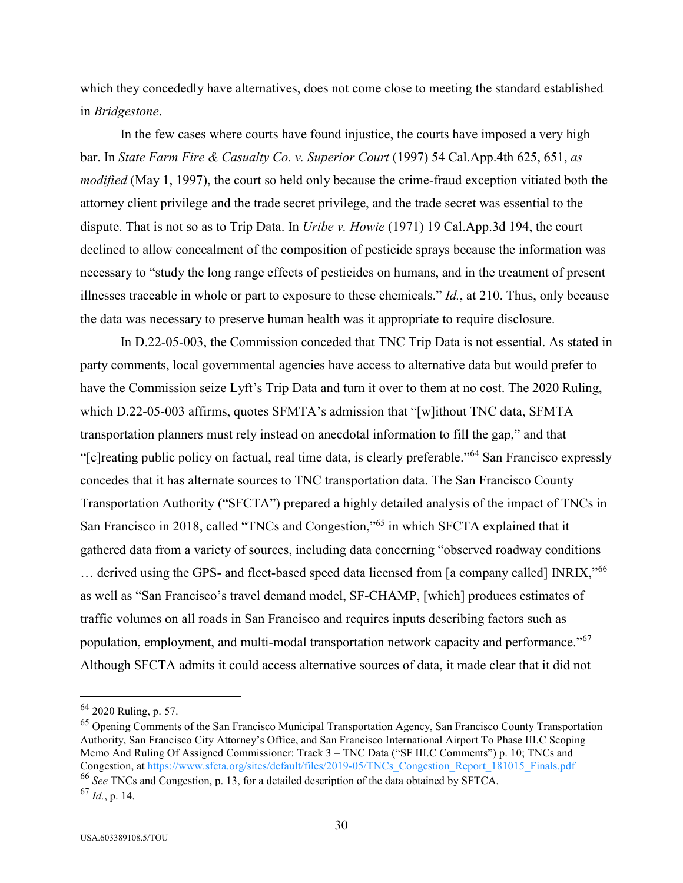which they concededly have alternatives, does not come close to meeting the standard established in *Bridgestone*.

In the few cases where courts have found injustice, the courts have imposed a very high bar. In *State Farm Fire & Casualty Co. v. Superior Court* (1997) 54 Cal.App.4th 625, 651, *as modified* (May 1, 1997), the court so held only because the crime-fraud exception vitiated both the attorney client privilege and the trade secret privilege, and the trade secret was essential to the dispute. That is not so as to Trip Data. In *Uribe v. Howie* (1971) 19 Cal.App.3d 194, the court declined to allow concealment of the composition of pesticide sprays because the information was necessary to "study the long range effects of pesticides on humans, and in the treatment of present illnesses traceable in whole or part to exposure to these chemicals." *Id.*, at 210. Thus, only because the data was necessary to preserve human health was it appropriate to require disclosure.

In D.22-05-003, the Commission conceded that TNC Trip Data is not essential. As stated in party comments, local governmental agencies have access to alternative data but would prefer to have the Commission seize Lyft's Trip Data and turn it over to them at no cost. The 2020 Ruling, which D.22-05-003 affirms, quotes SFMTA's admission that "[w]ithout TNC data, SFMTA transportation planners must rely instead on anecdotal information to fill the gap," and that "[c]reating public policy on factual, real time data, is clearly preferable."<sup>64</sup> San Francisco expressly concedes that it has alternate sources to TNC transportation data. The San Francisco County Transportation Authority ("SFCTA") prepared a highly detailed analysis of the impact of TNCs in San Francisco in 2018, called "TNCs and Congestion,"<sup>65</sup> in which SFCTA explained that it gathered data from a variety of sources, including data concerning "observed roadway conditions ... derived using the GPS- and fleet-based speed data licensed from [a company called] INRIX,"<sup>66</sup> as well as "San Francisco's travel demand model, SF-CHAMP, [which] produces estimates of traffic volumes on all roads in San Francisco and requires inputs describing factors such as population, employment, and multi-modal transportation network capacity and performance."<sup>67</sup> Although SFCTA admits it could access alternative sources of data, it made clear that it did not

<sup>65</sup> Opening Comments of the San Francisco Municipal Transportation Agency, San Francisco County Transportation Authority, San Francisco City Attorney's Office, and San Francisco International Airport To Phase III.C Scoping Memo And Ruling Of Assigned Commissioner: Track 3 – TNC Data ("SF III.C Comments") p. 10; TNCs and Congestion, at https://www.sfcta.org/sites/default/files/2019-05/TNCs\_Congestion\_Report\_181015\_Finals.pdf <sup>66</sup> *See* TNCs and Congestion, p. 13, for a detailed description of the data obtained by SFTCA.

<sup>64</sup> 2020 Ruling, p. 57.

<sup>67</sup> *Id.*, p. 14.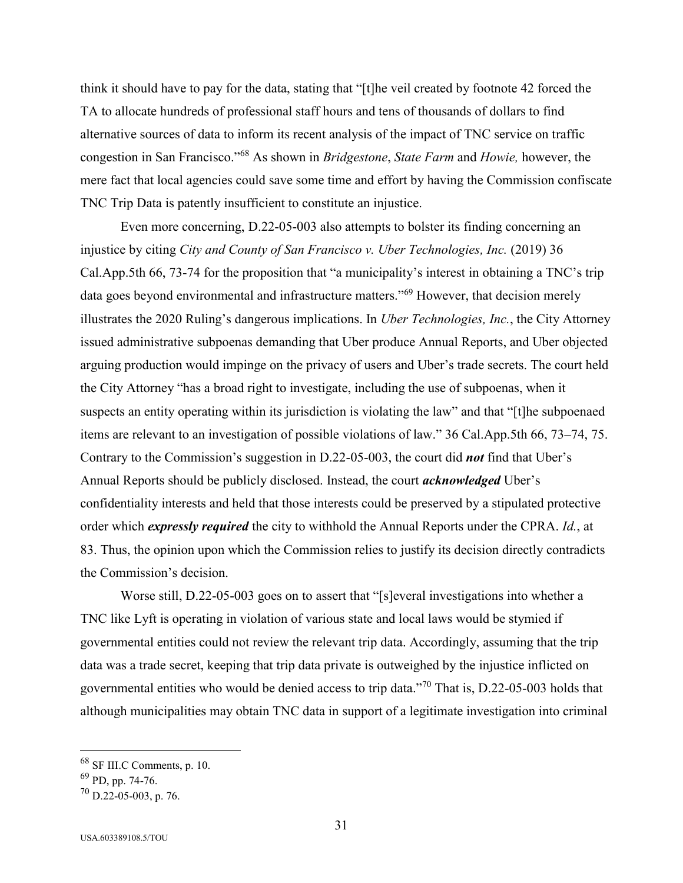think it should have to pay for the data, stating that "[t]he veil created by footnote 42 forced the TA to allocate hundreds of professional staff hours and tens of thousands of dollars to find alternative sources of data to inform its recent analysis of the impact of TNC service on traffic congestion in San Francisco."<sup>68</sup> As shown in *Bridgestone*, *State Farm* and *Howie,* however, the mere fact that local agencies could save some time and effort by having the Commission confiscate TNC Trip Data is patently insufficient to constitute an injustice.

Even more concerning, D.22-05-003 also attempts to bolster its finding concerning an injustice by citing *City and County of San Francisco v. Uber Technologies, Inc.* (2019) 36 Cal.App.5th 66, 73-74 for the proposition that "a municipality's interest in obtaining a TNC's trip data goes beyond environmental and infrastructure matters."<sup>69</sup> However, that decision merely illustrates the 2020 Ruling's dangerous implications. In *Uber Technologies, Inc.*, the City Attorney issued administrative subpoenas demanding that Uber produce Annual Reports, and Uber objected arguing production would impinge on the privacy of users and Uber's trade secrets. The court held the City Attorney "has a broad right to investigate, including the use of subpoenas, when it suspects an entity operating within its jurisdiction is violating the law" and that "[t]he subpoenaed items are relevant to an investigation of possible violations of law." 36 Cal.App.5th 66, 73–74, 75. Contrary to the Commission's suggestion in D.22-05-003, the court did *not* find that Uber's Annual Reports should be publicly disclosed. Instead, the court *acknowledged* Uber's confidentiality interests and held that those interests could be preserved by a stipulated protective order which *expressly required* the city to withhold the Annual Reports under the CPRA. *Id.*, at 83. Thus, the opinion upon which the Commission relies to justify its decision directly contradicts the Commission's decision.

Worse still, D.22-05-003 goes on to assert that "[s]everal investigations into whether a TNC like Lyft is operating in violation of various state and local laws would be stymied if governmental entities could not review the relevant trip data. Accordingly, assuming that the trip data was a trade secret, keeping that trip data private is outweighed by the injustice inflicted on governmental entities who would be denied access to trip data."<sup>70</sup> That is, D.22-05-003 holds that although municipalities may obtain TNC data in support of a legitimate investigation into criminal

 $68$  SF III.C Comments, p. 10.

 $69$  PD, pp. 74-76.

 $^{70}$  D.22-05-003, p. 76.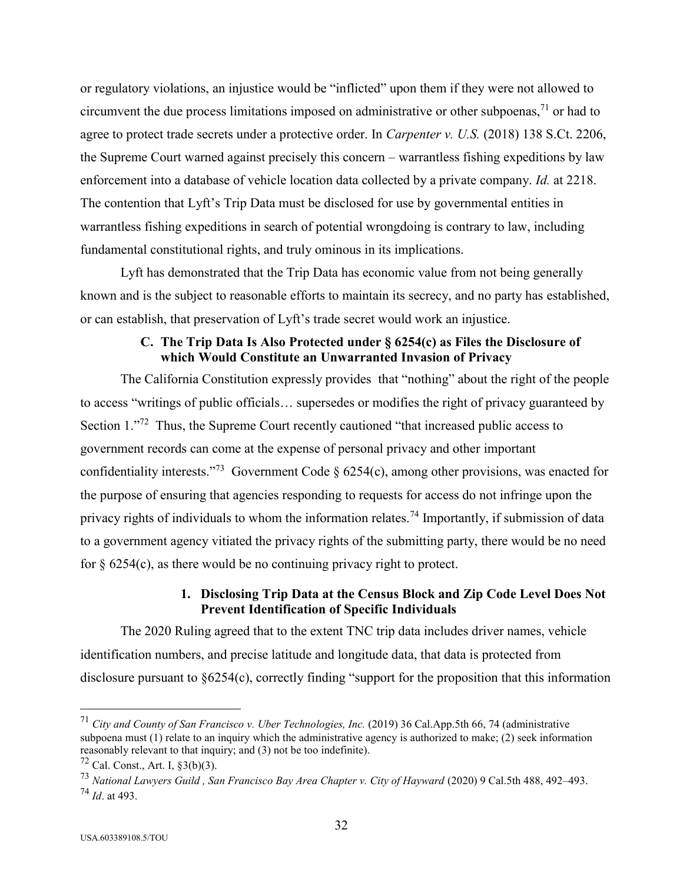or regulatory violations, an injustice would be "inflicted" upon them if they were not allowed to circumvent the due process limitations imposed on administrative or other subpoenas,  $\frac{71}{1}$  or had to agree to protect trade secrets under a protective order. In *Carpenter v. U.S.* (2018) 138 S.Ct. 2206, the Supreme Court warned against precisely this concern – warrantless fishing expeditions by law enforcement into a database of vehicle location data collected by a private company. *Id.* at 2218. The contention that Lyft's Trip Data must be disclosed for use by governmental entities in warrantless fishing expeditions in search of potential wrongdoing is contrary to law, including fundamental constitutional rights, and truly ominous in its implications.

Lyft has demonstrated that the Trip Data has economic value from not being generally known and is the subject to reasonable efforts to maintain its secrecy, and no party has established, or can establish, that preservation of Lyft's trade secret would work an injustice.

## **C. The Trip Data Is Also Protected under § 6254(c) as Files the Disclosure of which Would Constitute an Unwarranted Invasion of Privacy**

The California Constitution expressly provides that "nothing" about the right of the people to access "writings of public officials… supersedes or modifies the right of privacy guaranteed by Section 1."<sup>72</sup> Thus, the Supreme Court recently cautioned "that increased public access to government records can come at the expense of personal privacy and other important confidentiality interests."<sup>73</sup> Government Code §  $6254(c)$ , among other provisions, was enacted for the purpose of ensuring that agencies responding to requests for access do not infringe upon the privacy rights of individuals to whom the information relates.<sup>74</sup> Importantly, if submission of data to a government agency vitiated the privacy rights of the submitting party, there would be no need for  $\S 6254(c)$ , as there would be no continuing privacy right to protect.

# **1. Disclosing Trip Data at the Census Block and Zip Code Level Does Not Prevent Identification of Specific Individuals**

The 2020 Ruling agreed that to the extent TNC trip data includes driver names, vehicle identification numbers, and precise latitude and longitude data, that data is protected from disclosure pursuant to §6254(c), correctly finding "support for the proposition that this information

<sup>71</sup> *City and County of San Francisco v. Uber Technologies, Inc.* (2019) 36 Cal.App.5th 66, 74 (administrative subpoena must (1) relate to an inquiry which the administrative agency is authorized to make; (2) seek information reasonably relevant to that inquiry; and (3) not be too indefinite).

 $72$  Cal. Const., Art. I,  $83(b)(3)$ .

<sup>73</sup> *National Lawyers Guild , San Francisco Bay Area Chapter v. City of Hayward* (2020) 9 Cal.5th 488, 492–493. <sup>74</sup> *Id*. at 493.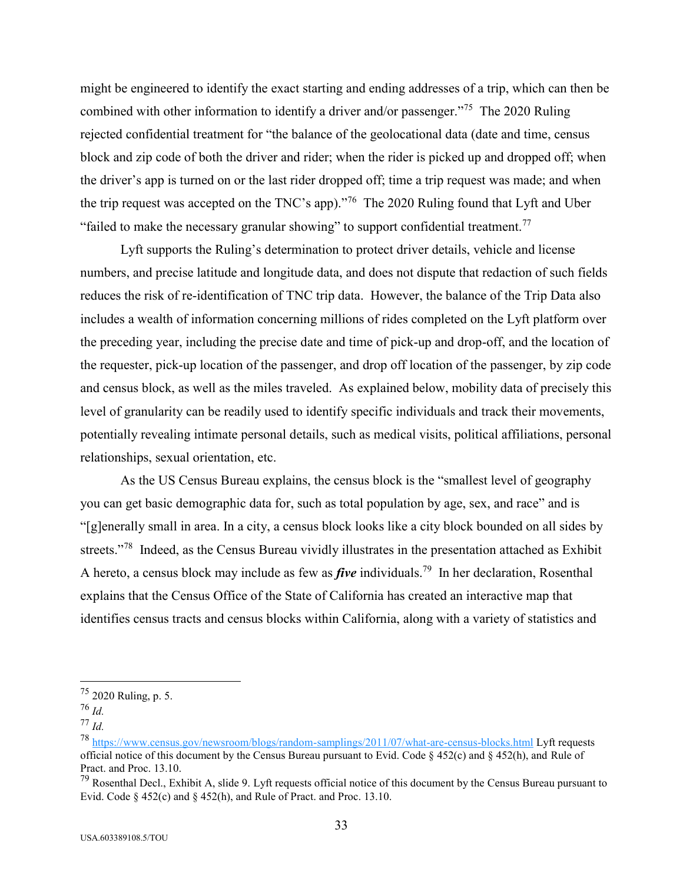might be engineered to identify the exact starting and ending addresses of a trip, which can then be combined with other information to identify a driver and/or passenger."<sup>75</sup> The 2020 Ruling rejected confidential treatment for "the balance of the geolocational data (date and time, census block and zip code of both the driver and rider; when the rider is picked up and dropped off; when the driver's app is turned on or the last rider dropped off; time a trip request was made; and when the trip request was accepted on the TNC's app). $\frac{1}{76}$  The 2020 Ruling found that Lyft and Uber "failed to make the necessary granular showing" to support confidential treatment.<sup>77</sup>

Lyft supports the Ruling's determination to protect driver details, vehicle and license numbers, and precise latitude and longitude data, and does not dispute that redaction of such fields reduces the risk of re-identification of TNC trip data. However, the balance of the Trip Data also includes a wealth of information concerning millions of rides completed on the Lyft platform over the preceding year, including the precise date and time of pick-up and drop-off, and the location of the requester, pick-up location of the passenger, and drop off location of the passenger, by zip code and census block, as well as the miles traveled. As explained below, mobility data of precisely this level of granularity can be readily used to identify specific individuals and track their movements, potentially revealing intimate personal details, such as medical visits, political affiliations, personal relationships, sexual orientation, etc.

As the US Census Bureau explains, the census block is the "smallest level of geography you can get basic demographic data for, such as total population by age, sex, and race" and is "[g]enerally small in area. In a city, a census block looks like a city block bounded on all sides by streets."<sup>78</sup> Indeed, as the Census Bureau vividly illustrates in the presentation attached as Exhibit A hereto, a census block may include as few as *five* individuals.<sup>79</sup> In her declaration, Rosenthal explains that the Census Office of the State of California has created an interactive map that identifies census tracts and census blocks within California, along with a variety of statistics and

 $^{75}$  2020 Ruling, p. 5.

<sup>76</sup> *Id.*

<sup>77</sup> *Id.*

<sup>78</sup> <https://www.census.gov/newsroom/blogs/random-samplings/2011/07/what-are-census-blocks.html> Lyft requests official notice of this document by the Census Bureau pursuant to Evid. Code  $\S$  452(c) and  $\S$  452(h), and Rule of Pract. and Proc. 13.10.

 $79$  Rosenthal Decl., Exhibit A, slide 9. Lyft requests official notice of this document by the Census Bureau pursuant to Evid. Code § 452(c) and § 452(h), and Rule of Pract. and Proc. 13.10.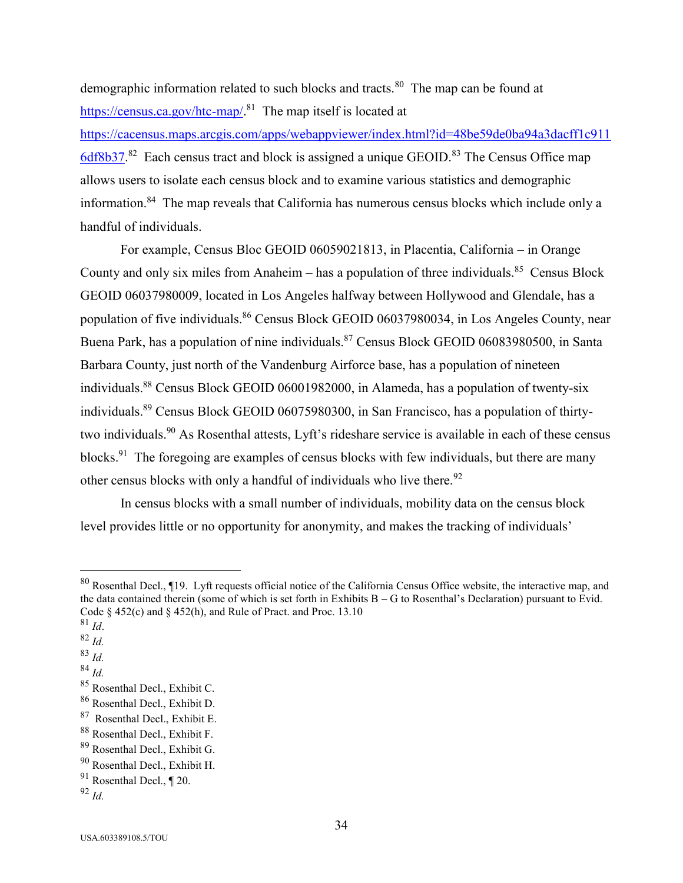demographic information related to such blocks and tracts.<sup>80</sup> The map can be found at [https://census.ca.gov/htc-map/.](https://census.ca.gov/htc-map/)<sup>81</sup> The map itself is located at

[https://cacensus.maps.arcgis.com/apps/webappviewer/index.html?id=48be59de0ba94a3dacff1c911](https://cacensus.maps.arcgis.com/apps/webappviewer/index.html?id=48be59de0ba94a3dacff1c9116df8b37)  $6d8b37$ <sup>82</sup> Each census tract and block is assigned a unique GEOID.<sup>83</sup> The Census Office map allows users to isolate each census block and to examine various statistics and demographic information.<sup>84</sup> The map reveals that California has numerous census blocks which include only a handful of individuals.

For example, Census Bloc GEOID 06059021813, in Placentia, California – in Orange County and only six miles from Anaheim  $-$  has a population of three individuals.<sup>85</sup> Census Block GEOID 06037980009, located in Los Angeles halfway between Hollywood and Glendale, has a population of five individuals.<sup>86</sup> Census Block GEOID 06037980034, in Los Angeles County, near Buena Park, has a population of nine individuals.<sup>87</sup> Census Block GEOID 06083980500, in Santa Barbara County, just north of the Vandenburg Airforce base, has a population of nineteen individuals.<sup>88</sup> Census Block GEOID 06001982000, in Alameda, has a population of twenty-six individuals.<sup>89</sup> Census Block GEOID 06075980300, in San Francisco, has a population of thirtytwo individuals.<sup>90</sup> As Rosenthal attests, Lyft's rideshare service is available in each of these census blocks.<sup>91</sup> The foregoing are examples of census blocks with few individuals, but there are many other census blocks with only a handful of individuals who live there.<sup>92</sup>

In census blocks with a small number of individuals, mobility data on the census block level provides little or no opportunity for anonymity, and makes the tracking of individuals'

 $81$  *Id.* 

- <sup>82</sup> *Id.*
- <sup>83</sup> *Id.*
- <sup>84</sup> *Id.*

 $80$  Rosenthal Decl., ¶19. Lyft requests official notice of the California Census Office website, the interactive map, and the data contained therein (some of which is set forth in Exhibits  $B - G$  to Rosenthal's Declaration) pursuant to Evid. Code  $\S$  452(c) and  $\S$  452(h), and Rule of Pract. and Proc. 13.10

<sup>85</sup> Rosenthal Decl., Exhibit C.

<sup>86</sup> Rosenthal Decl., Exhibit D.

<sup>&</sup>lt;sup>87</sup> Rosenthal Decl., Exhibit E.

<sup>88</sup> Rosenthal Decl., Exhibit F.

<sup>89</sup> Rosenthal Decl., Exhibit G.

<sup>90</sup> Rosenthal Decl., Exhibit H.

 $91$  Rosenthal Decl.,  $\P$  20.

<sup>92</sup> *Id.*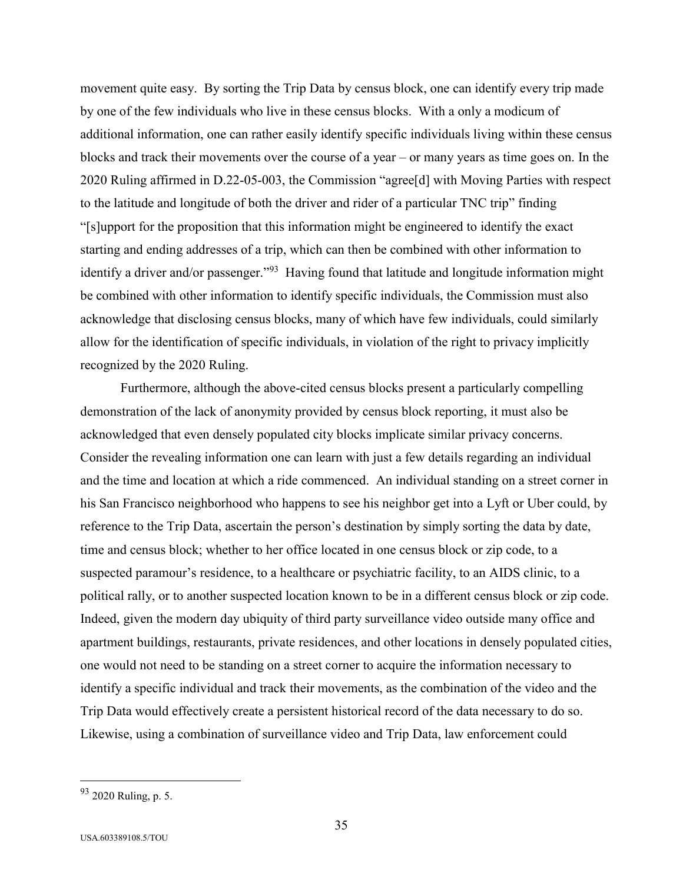movement quite easy. By sorting the Trip Data by census block, one can identify every trip made by one of the few individuals who live in these census blocks. With a only a modicum of additional information, one can rather easily identify specific individuals living within these census blocks and track their movements over the course of a year – or many years as time goes on. In the 2020 Ruling affirmed in D.22-05-003, the Commission "agree[d] with Moving Parties with respect to the latitude and longitude of both the driver and rider of a particular TNC trip" finding "[s]upport for the proposition that this information might be engineered to identify the exact starting and ending addresses of a trip, which can then be combined with other information to identify a driver and/or passenger."<sup>93</sup> Having found that latitude and longitude information might be combined with other information to identify specific individuals, the Commission must also acknowledge that disclosing census blocks, many of which have few individuals, could similarly allow for the identification of specific individuals, in violation of the right to privacy implicitly recognized by the 2020 Ruling.

Furthermore, although the above-cited census blocks present a particularly compelling demonstration of the lack of anonymity provided by census block reporting, it must also be acknowledged that even densely populated city blocks implicate similar privacy concerns. Consider the revealing information one can learn with just a few details regarding an individual and the time and location at which a ride commenced. An individual standing on a street corner in his San Francisco neighborhood who happens to see his neighbor get into a Lyft or Uber could, by reference to the Trip Data, ascertain the person's destination by simply sorting the data by date, time and census block; whether to her office located in one census block or zip code, to a suspected paramour's residence, to a healthcare or psychiatric facility, to an AIDS clinic, to a political rally, or to another suspected location known to be in a different census block or zip code. Indeed, given the modern day ubiquity of third party surveillance video outside many office and apartment buildings, restaurants, private residences, and other locations in densely populated cities, one would not need to be standing on a street corner to acquire the information necessary to identify a specific individual and track their movements, as the combination of the video and the Trip Data would effectively create a persistent historical record of the data necessary to do so. Likewise, using a combination of surveillance video and Trip Data, law enforcement could

<sup>93</sup> 2020 Ruling, p. 5.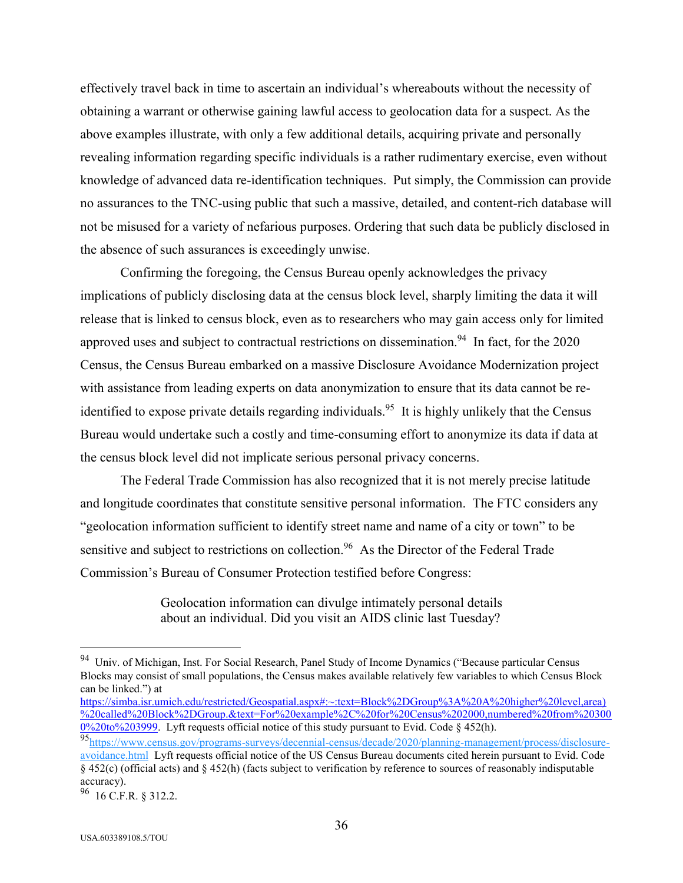effectively travel back in time to ascertain an individual's whereabouts without the necessity of obtaining a warrant or otherwise gaining lawful access to geolocation data for a suspect. As the above examples illustrate, with only a few additional details, acquiring private and personally revealing information regarding specific individuals is a rather rudimentary exercise, even without knowledge of advanced data re-identification techniques. Put simply, the Commission can provide no assurances to the TNC-using public that such a massive, detailed, and content-rich database will not be misused for a variety of nefarious purposes. Ordering that such data be publicly disclosed in the absence of such assurances is exceedingly unwise.

Confirming the foregoing, the Census Bureau openly acknowledges the privacy implications of publicly disclosing data at the census block level, sharply limiting the data it will release that is linked to census block, even as to researchers who may gain access only for limited approved uses and subject to contractual restrictions on dissemination.<sup>94</sup> In fact, for the  $2020$ Census, the Census Bureau embarked on a massive Disclosure Avoidance Modernization project with assistance from leading experts on data anonymization to ensure that its data cannot be reidentified to expose private details regarding individuals.<sup>95</sup> It is highly unlikely that the Census Bureau would undertake such a costly and time-consuming effort to anonymize its data if data at the census block level did not implicate serious personal privacy concerns.

The Federal Trade Commission has also recognized that it is not merely precise latitude and longitude coordinates that constitute sensitive personal information. The FTC considers any "geolocation information sufficient to identify street name and name of a city or town" to be sensitive and subject to restrictions on collection.<sup>96</sup> As the Director of the Federal Trade Commission's Bureau of Consumer Protection testified before Congress:

> Geolocation information can divulge intimately personal details about an individual. Did you visit an AIDS clinic last Tuesday?

<sup>&</sup>lt;sup>94</sup> Univ. of Michigan, Inst. For Social Research, Panel Study of Income Dynamics ("Because particular Census Blocks may consist of small populations, the Census makes available relatively few variables to which Census Block can be linked.") at

[https://simba.isr.umich.edu/restricted/Geospatial.aspx#:~:text=Block%2DGroup%3A%20A%20higher%20level,area\)](https://simba.isr.umich.edu/restricted/Geospatial.aspx#:~:text=Block%2DGroup%3A%20A%20higher%20level,area)%20called%20Block%2DGroup.&text=For%20example%2C%20for%20Census%202000,numbered%20from%203000%20to%203999) [%20called%20Block%2DGroup.&text=For%20example%2C%20for%20Census%202000,numbered%20from%20300](https://simba.isr.umich.edu/restricted/Geospatial.aspx#:~:text=Block%2DGroup%3A%20A%20higher%20level,area)%20called%20Block%2DGroup.&text=For%20example%2C%20for%20Census%202000,numbered%20from%203000%20to%203999) [0%20to%203999.](https://simba.isr.umich.edu/restricted/Geospatial.aspx#:~:text=Block%2DGroup%3A%20A%20higher%20level,area)%20called%20Block%2DGroup.&text=For%20example%2C%20for%20Census%202000,numbered%20from%203000%20to%203999) Lyft requests official notice of this study pursuant to Evid. Code § 452(h).

<sup>95</sup>[https://www.census.gov/programs-surveys/decennial-census/decade/2020/planning-management/process/disclosure-](https://www.census.gov/programs-surveys/decennial-census/decade/2020/planning-management/process/disclosure-avoidance.html)

[avoidance.html](https://www.census.gov/programs-surveys/decennial-census/decade/2020/planning-management/process/disclosure-avoidance.html) Lyft requests official notice of the US Census Bureau documents cited herein pursuant to Evid. Code § 452(c) (official acts) and § 452(h) (facts subject to verification by reference to sources of reasonably indisputable accuracy).

 $96$  16 C.F.R. § 312.2.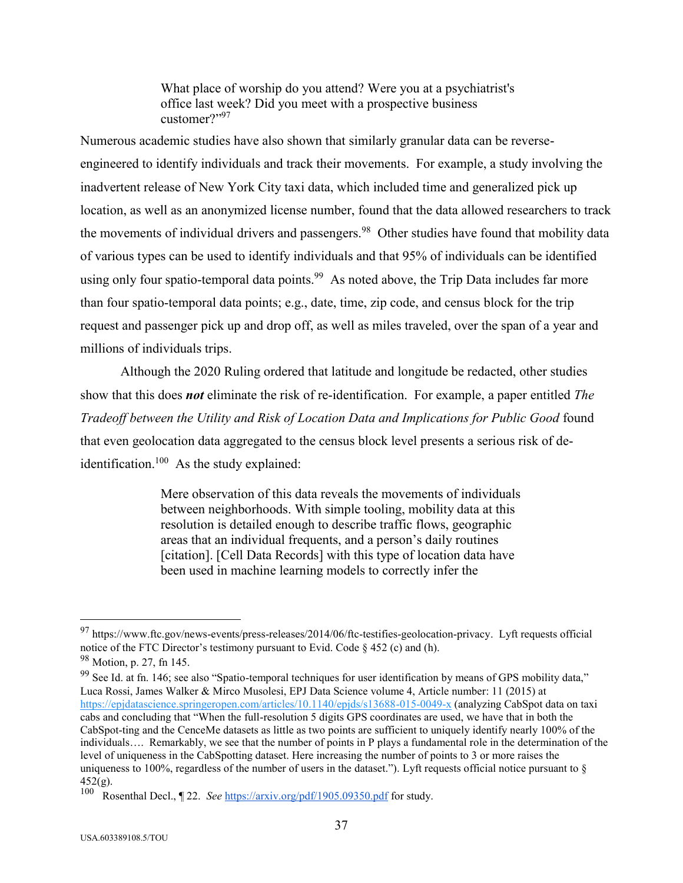What place of worship do you attend? Were you at a psychiatrist's office last week? Did you meet with a prospective business customer?"<sup>97</sup>

Numerous academic studies have also shown that similarly granular data can be reverseengineered to identify individuals and track their movements. For example, a study involving the inadvertent release of New York City taxi data, which included time and generalized pick up location, as well as an anonymized license number, found that the data allowed researchers to track the movements of individual drivers and passengers.<sup>98</sup> Other studies have found that mobility data of various types can be used to identify individuals and that 95% of individuals can be identified using only four spatio-temporal data points.<sup>99</sup> As noted above, the Trip Data includes far more than four spatio-temporal data points; e.g., date, time, zip code, and census block for the trip request and passenger pick up and drop off, as well as miles traveled, over the span of a year and millions of individuals trips.

Although the 2020 Ruling ordered that latitude and longitude be redacted, other studies show that this does *not* eliminate the risk of re-identification. For example, a paper entitled *The Tradeoff between the Utility and Risk of Location Data and Implications for Public Good* found that even geolocation data aggregated to the census block level presents a serious risk of deidentification.<sup>100</sup> As the study explained:

> Mere observation of this data reveals the movements of individuals between neighborhoods. With simple tooling, mobility data at this resolution is detailed enough to describe traffic flows, geographic areas that an individual frequents, and a person's daily routines [citation]. [Cell Data Records] with this type of location data have been used in machine learning models to correctly infer the

 $97$  [https://www.ftc.gov/news-events/press-releases/2014/06/ftc-testifies-geolocation-privacy.](https://www.ftc.gov/news-events/press-releases/2014/06/ftc-testifies-geolocation-privacy) Lyft requests official notice of the FTC Director's testimony pursuant to Evid. Code  $\S$  452 (c) and (h). <sup>98</sup> Motion, p. 27, fn 145.

<sup>&</sup>lt;sup>99</sup> See Id. at fn. 146; see also "Spatio-temporal techniques for user identification by means of GPS mobility data," Luca Rossi, James Walker & Mirco Musolesi, EPJ Data Science volume 4, Article number: 11 (2015) at <https://epjdatascience.springeropen.com/articles/10.1140/epjds/s13688-015-0049-x> (analyzing CabSpot data on taxi cabs and concluding that "When the full-resolution 5 digits GPS coordinates are used, we have that in both the CabSpot-ting and the CenceMe datasets as little as two points are sufficient to uniquely identify nearly 100% of the individuals…. Remarkably, we see that the number of points in P plays a fundamental role in the determination of the level of uniqueness in the CabSpotting dataset. Here increasing the number of points to 3 or more raises the uniqueness to 100%, regardless of the number of users in the dataset."). Lyft requests official notice pursuant to  $\S$  $452(g)$ .

<sup>100</sup> Rosenthal Decl., ¶ 22. *See* <https://arxiv.org/pdf/1905.09350.pdf> for study.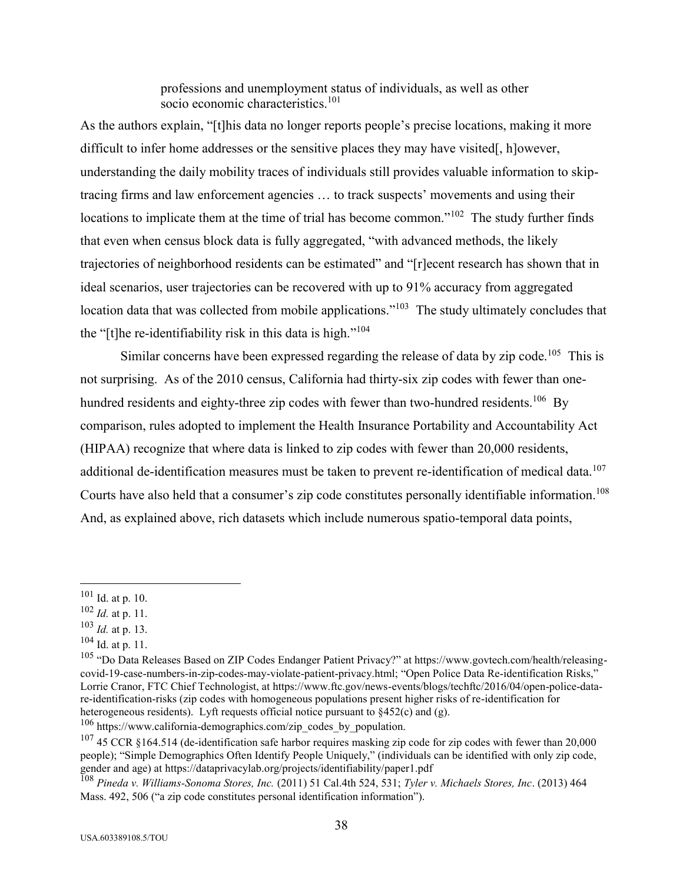professions and unemployment status of individuals, as well as other socio economic characteristics.<sup>101</sup>

As the authors explain, "[t]his data no longer reports people's precise locations, making it more difficult to infer home addresses or the sensitive places they may have visited[, h]owever, understanding the daily mobility traces of individuals still provides valuable information to skiptracing firms and law enforcement agencies … to track suspects' movements and using their locations to implicate them at the time of trial has become common."<sup>102</sup> The study further finds that even when census block data is fully aggregated, "with advanced methods, the likely trajectories of neighborhood residents can be estimated" and "[r]ecent research has shown that in ideal scenarios, user trajectories can be recovered with up to 91% accuracy from aggregated location data that was collected from mobile applications."<sup>103</sup> The study ultimately concludes that the "[t]he re-identifiability risk in this data is high."<sup>104</sup>

Similar concerns have been expressed regarding the release of data by zip code.<sup>105</sup> This is not surprising. As of the 2010 census, California had thirty-six zip codes with fewer than onehundred residents and eighty-three zip codes with fewer than two-hundred residents.<sup>106</sup> By comparison, rules adopted to implement the Health Insurance Portability and Accountability Act (HIPAA) recognize that where data is linked to zip codes with fewer than 20,000 residents, additional de-identification measures must be taken to prevent re-identification of medical data.<sup>107</sup> Courts have also held that a consumer's zip code constitutes personally identifiable information.<sup>108</sup> And, as explained above, rich datasets which include numerous spatio-temporal data points,

<sup>101</sup> Id. at p. 10.

<sup>102</sup> *Id.* at p. 11.

<sup>103</sup> *Id.* at p. 13.

 $104$  Id. at p. 11.

<sup>&</sup>lt;sup>105</sup> "Do Data Releases Based on ZIP Codes Endanger Patient Privacy?" at https://www.govtech.com/health/releasingcovid-19-case-numbers-in-zip-codes-may-violate-patient-privacy.html; "Open Police Data Re-identification Risks," Lorrie Cranor, FTC Chief Technologist, at https://www.ftc.gov/news-events/blogs/techftc/2016/04/open-police-datare-identification-risks (zip codes with homogeneous populations present higher risks of re-identification for heterogeneous residents). Lyft requests official notice pursuant to §452(c) and (g).

<sup>106</sup> https://www.california-demographics.com/zip\_codes\_by\_population.

 $107$  45 CCR §164.514 (de-identification safe harbor requires masking zip code for zip codes with fewer than 20,000 people); "Simple Demographics Often Identify People Uniquely," (individuals can be identified with only zip code, gender and age) at<https://dataprivacylab.org/projects/identifiability/paper1.pdf>

<sup>108</sup> *Pineda v. Williams-Sonoma Stores, Inc.* (2011) 51 Cal.4th 524, 531; *Tyler v. Michaels Stores, Inc*. (2013) 464 Mass. 492, 506 ("a zip code constitutes personal identification information").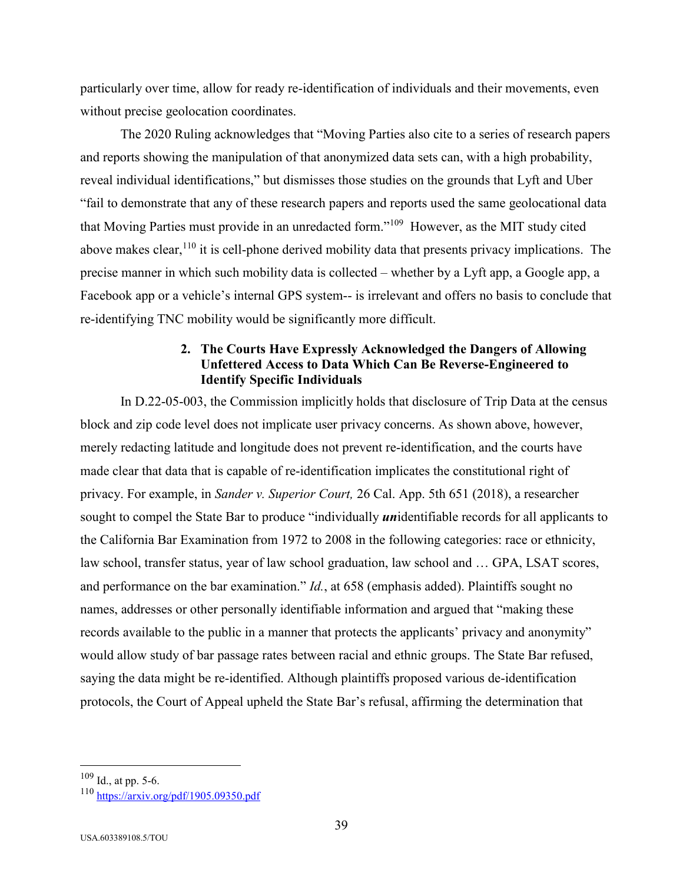particularly over time, allow for ready re-identification of individuals and their movements, even without precise geolocation coordinates.

The 2020 Ruling acknowledges that "Moving Parties also cite to a series of research papers and reports showing the manipulation of that anonymized data sets can, with a high probability, reveal individual identifications," but dismisses those studies on the grounds that Lyft and Uber "fail to demonstrate that any of these research papers and reports used the same geolocational data that Moving Parties must provide in an unredacted form."<sup>109</sup> However, as the MIT study cited above makes clear,<sup>110</sup> it is cell-phone derived mobility data that presents privacy implications. The precise manner in which such mobility data is collected – whether by a Lyft app, a Google app, a Facebook app or a vehicle's internal GPS system-- is irrelevant and offers no basis to conclude that re-identifying TNC mobility would be significantly more difficult.

#### **2. The Courts Have Expressly Acknowledged the Dangers of Allowing Unfettered Access to Data Which Can Be Reverse-Engineered to Identify Specific Individuals**

In D.22-05-003, the Commission implicitly holds that disclosure of Trip Data at the census block and zip code level does not implicate user privacy concerns. As shown above, however, merely redacting latitude and longitude does not prevent re-identification, and the courts have made clear that data that is capable of re-identification implicates the constitutional right of privacy. For example, in *Sander v. Superior Court,* 26 Cal. App. 5th 651 (2018), a researcher sought to compel the State Bar to produce "individually *un*identifiable records for all applicants to the California Bar Examination from 1972 to 2008 in the following categories: race or ethnicity, law school, transfer status, year of law school graduation, law school and … GPA, LSAT scores, and performance on the bar examination." *Id.*, at 658 (emphasis added). Plaintiffs sought no names, addresses or other personally identifiable information and argued that "making these records available to the public in a manner that protects the applicants' privacy and anonymity" would allow study of bar passage rates between racial and ethnic groups. The State Bar refused, saying the data might be re-identified. Although plaintiffs proposed various de-identification protocols, the Court of Appeal upheld the State Bar's refusal, affirming the determination that

 $109$  Id., at pp. 5-6.

<sup>110</sup> <https://arxiv.org/pdf/1905.09350.pdf>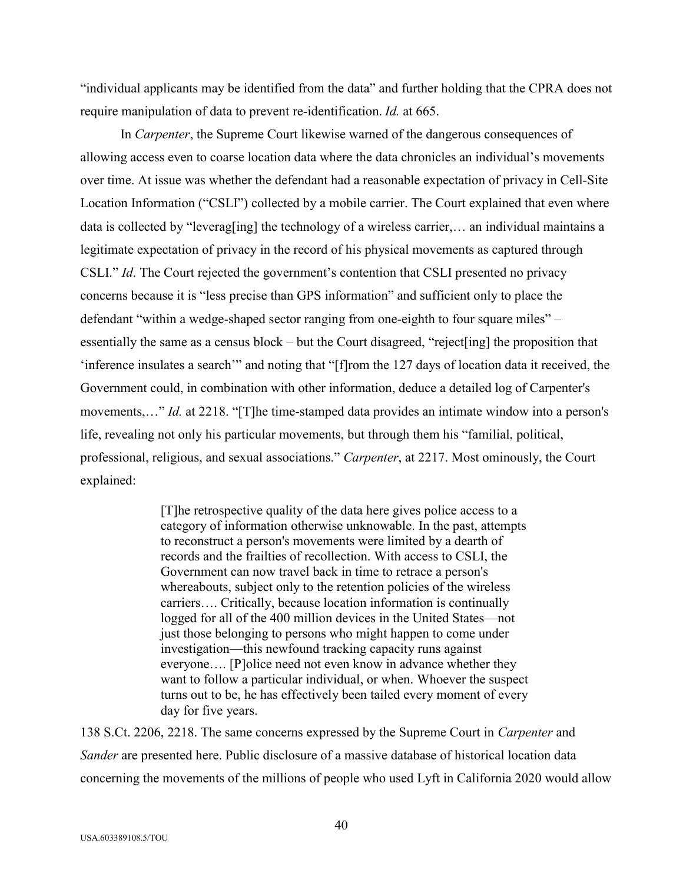"individual applicants may be identified from the data" and further holding that the CPRA does not require manipulation of data to prevent re-identification. *Id.* at 665.

In *Carpenter*, the Supreme Court likewise warned of the dangerous consequences of allowing access even to coarse location data where the data chronicles an individual's movements over time. At issue was whether the defendant had a reasonable expectation of privacy in Cell-Site Location Information ("CSLI") collected by a mobile carrier. The Court explained that even where data is collected by "leverag[ing] the technology of a wireless carrier,… an individual maintains a legitimate expectation of privacy in the record of his physical movements as captured through CSLI." *Id*. The Court rejected the government's contention that CSLI presented no privacy concerns because it is "less precise than GPS information" and sufficient only to place the defendant "within a wedge-shaped sector ranging from one-eighth to four square miles" – essentially the same as a census block – but the Court disagreed, "reject[ing] the proposition that 'inference insulates a search'" and noting that "[f]rom the 127 days of location data it received, the Government could, in combination with other information, deduce a detailed log of Carpenter's movements,…" *Id.* at 2218. "[T]he time-stamped data provides an intimate window into a person's life, revealing not only his particular movements, but through them his "familial, political, professional, religious, and sexual associations." *Carpenter*, at 2217. Most ominously, the Court explained:

> [T]he retrospective quality of the data here gives police access to a category of information otherwise unknowable. In the past, attempts to reconstruct a person's movements were limited by a dearth of records and the frailties of recollection. With access to CSLI, the Government can now travel back in time to retrace a person's whereabouts, subject only to the retention policies of the wireless carriers…. Critically, because location information is continually logged for all of the 400 million devices in the United States—not just those belonging to persons who might happen to come under investigation—this newfound tracking capacity runs against everyone…. [P]olice need not even know in advance whether they want to follow a particular individual, or when. Whoever the suspect turns out to be, he has effectively been tailed every moment of every day for five years.

138 S.Ct. 2206, 2218. The same concerns expressed by the Supreme Court in *Carpenter* and *Sander* are presented here. Public disclosure of a massive database of historical location data concerning the movements of the millions of people who used Lyft in California 2020 would allow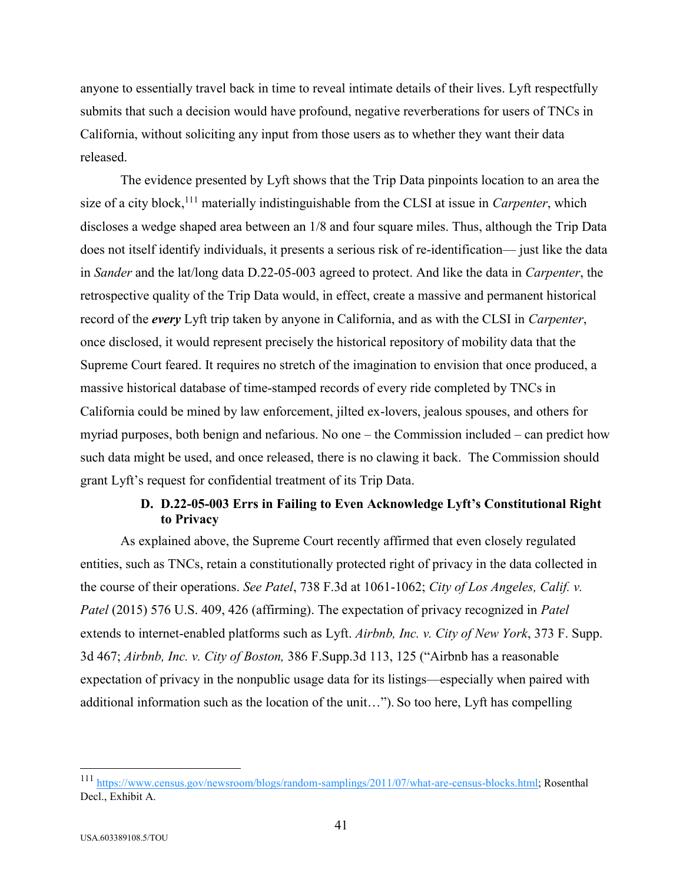anyone to essentially travel back in time to reveal intimate details of their lives. Lyft respectfully submits that such a decision would have profound, negative reverberations for users of TNCs in California, without soliciting any input from those users as to whether they want their data released.

The evidence presented by Lyft shows that the Trip Data pinpoints location to an area the size of a city block,<sup>111</sup> materially indistinguishable from the CLSI at issue in *Carpenter*, which discloses a wedge shaped area between an 1/8 and four square miles. Thus, although the Trip Data does not itself identify individuals, it presents a serious risk of re-identification— just like the data in *Sander* and the lat/long data D.22-05-003 agreed to protect. And like the data in *Carpenter*, the retrospective quality of the Trip Data would, in effect, create a massive and permanent historical record of the *every* Lyft trip taken by anyone in California, and as with the CLSI in *Carpenter*, once disclosed, it would represent precisely the historical repository of mobility data that the Supreme Court feared. It requires no stretch of the imagination to envision that once produced, a massive historical database of time-stamped records of every ride completed by TNCs in California could be mined by law enforcement, jilted ex-lovers, jealous spouses, and others for myriad purposes, both benign and nefarious. No one – the Commission included – can predict how such data might be used, and once released, there is no clawing it back. The Commission should grant Lyft's request for confidential treatment of its Trip Data.

## **D. D.22-05-003 Errs in Failing to Even Acknowledge Lyft's Constitutional Right to Privacy**

As explained above, the Supreme Court recently affirmed that even closely regulated entities, such as TNCs, retain a constitutionally protected right of privacy in the data collected in the course of their operations. *See Patel*, 738 F.3d at 1061-1062; *City of Los Angeles, Calif. v. Patel* (2015) 576 U.S. 409, 426 (affirming). The expectation of privacy recognized in *Patel* extends to internet-enabled platforms such as Lyft. *Airbnb, Inc. v. City of New York*, 373 F. Supp. 3d 467; *Airbnb, Inc. v. City of Boston,* 386 F.Supp.3d 113, 125 ("Airbnb has a reasonable expectation of privacy in the nonpublic usage data for its listings—especially when paired with additional information such as the location of the unit…"). So too here, Lyft has compelling

<sup>111</sup> [https://www.census.gov/newsroom/blogs/random-samplings/2011/07/what-are-census-blocks.html;](https://www.census.gov/newsroom/blogs/random-samplings/2011/07/what-are-census-blocks.html) Rosenthal Decl., Exhibit A.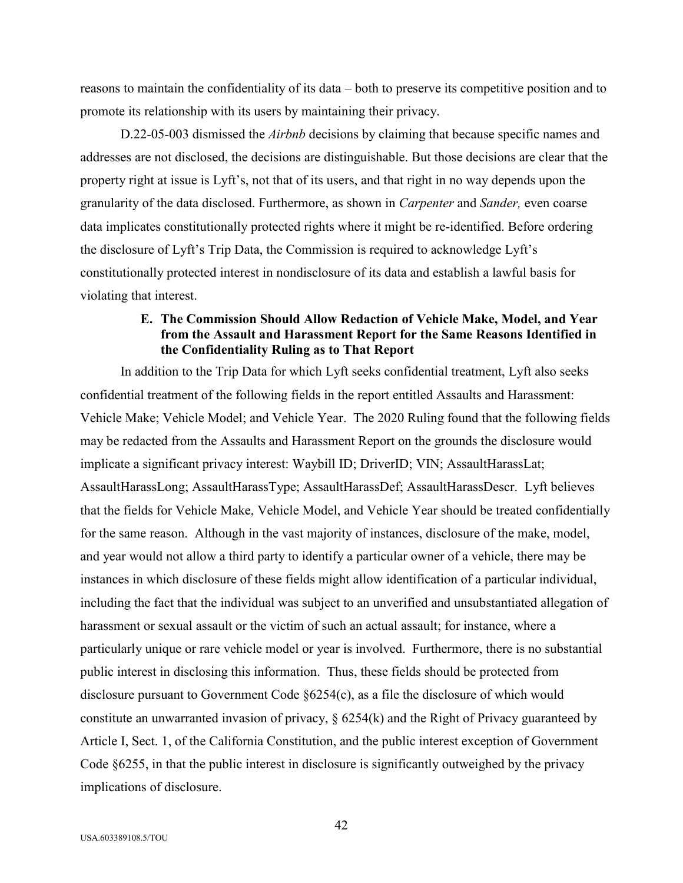reasons to maintain the confidentiality of its data – both to preserve its competitive position and to promote its relationship with its users by maintaining their privacy.

D.22-05-003 dismissed the *Airbnb* decisions by claiming that because specific names and addresses are not disclosed, the decisions are distinguishable. But those decisions are clear that the property right at issue is Lyft's, not that of its users, and that right in no way depends upon the granularity of the data disclosed. Furthermore, as shown in *Carpenter* and *Sander,* even coarse data implicates constitutionally protected rights where it might be re-identified. Before ordering the disclosure of Lyft's Trip Data, the Commission is required to acknowledge Lyft's constitutionally protected interest in nondisclosure of its data and establish a lawful basis for violating that interest.

## **E. The Commission Should Allow Redaction of Vehicle Make, Model, and Year from the Assault and Harassment Report for the Same Reasons Identified in the Confidentiality Ruling as to That Report**

In addition to the Trip Data for which Lyft seeks confidential treatment, Lyft also seeks confidential treatment of the following fields in the report entitled Assaults and Harassment: Vehicle Make; Vehicle Model; and Vehicle Year. The 2020 Ruling found that the following fields may be redacted from the Assaults and Harassment Report on the grounds the disclosure would implicate a significant privacy interest: Waybill ID; DriverID; VIN; AssaultHarassLat; AssaultHarassLong; AssaultHarassType; AssaultHarassDef; AssaultHarassDescr. Lyft believes that the fields for Vehicle Make, Vehicle Model, and Vehicle Year should be treated confidentially for the same reason. Although in the vast majority of instances, disclosure of the make, model, and year would not allow a third party to identify a particular owner of a vehicle, there may be instances in which disclosure of these fields might allow identification of a particular individual, including the fact that the individual was subject to an unverified and unsubstantiated allegation of harassment or sexual assault or the victim of such an actual assault; for instance, where a particularly unique or rare vehicle model or year is involved. Furthermore, there is no substantial public interest in disclosing this information. Thus, these fields should be protected from disclosure pursuant to Government Code §6254(c), as a file the disclosure of which would constitute an unwarranted invasion of privacy,  $\S 6254(k)$  and the Right of Privacy guaranteed by Article I, Sect. 1, of the California Constitution, and the public interest exception of Government Code §6255, in that the public interest in disclosure is significantly outweighed by the privacy implications of disclosure.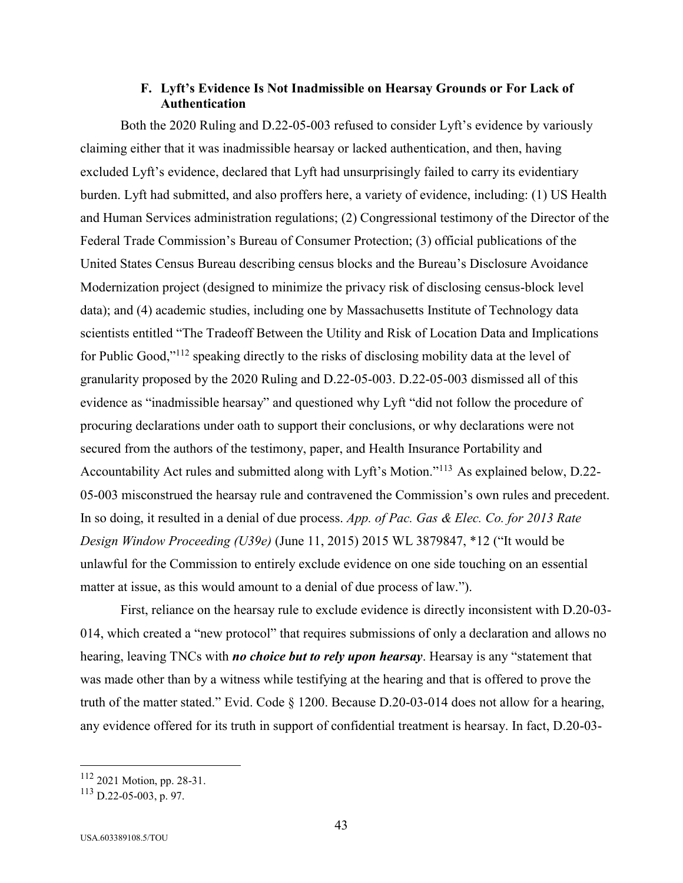### **F. Lyft's Evidence Is Not Inadmissible on Hearsay Grounds or For Lack of Authentication**

Both the 2020 Ruling and D.22-05-003 refused to consider Lyft's evidence by variously claiming either that it was inadmissible hearsay or lacked authentication, and then, having excluded Lyft's evidence, declared that Lyft had unsurprisingly failed to carry its evidentiary burden. Lyft had submitted, and also proffers here, a variety of evidence, including: (1) US Health and Human Services administration regulations; (2) Congressional testimony of the Director of the Federal Trade Commission's Bureau of Consumer Protection; (3) official publications of the United States Census Bureau describing census blocks and the Bureau's Disclosure Avoidance Modernization project (designed to minimize the privacy risk of disclosing census-block level data); and (4) academic studies, including one by Massachusetts Institute of Technology data scientists entitled "The Tradeoff Between the Utility and Risk of Location Data and Implications for Public Good,"<sup>112</sup> speaking directly to the risks of disclosing mobility data at the level of granularity proposed by the 2020 Ruling and D.22-05-003. D.22-05-003 dismissed all of this evidence as "inadmissible hearsay" and questioned why Lyft "did not follow the procedure of procuring declarations under oath to support their conclusions, or why declarations were not secured from the authors of the testimony, paper, and Health Insurance Portability and Accountability Act rules and submitted along with Lyft's Motion."<sup>113</sup> As explained below, D.22-05-003 misconstrued the hearsay rule and contravened the Commission's own rules and precedent. In so doing, it resulted in a denial of due process. *App. of Pac. Gas & Elec. Co. for 2013 Rate Design Window Proceeding (U39e)* (June 11, 2015) 2015 WL 3879847, \*12 ("It would be unlawful for the Commission to entirely exclude evidence on one side touching on an essential matter at issue, as this would amount to a denial of due process of law.").

First, reliance on the hearsay rule to exclude evidence is directly inconsistent with D.20-03- 014, which created a "new protocol" that requires submissions of only a declaration and allows no hearing, leaving TNCs with *no choice but to rely upon hearsay*. Hearsay is any "statement that was made other than by a witness while testifying at the hearing and that is offered to prove the truth of the matter stated." Evid. Code § 1200. Because D.20-03-014 does not allow for a hearing, any evidence offered for its truth in support of confidential treatment is hearsay. In fact, D.20-03-

<sup>112</sup> 2021 Motion, pp. 28-31.

<sup>113</sup> D.22-05-003, p. 97.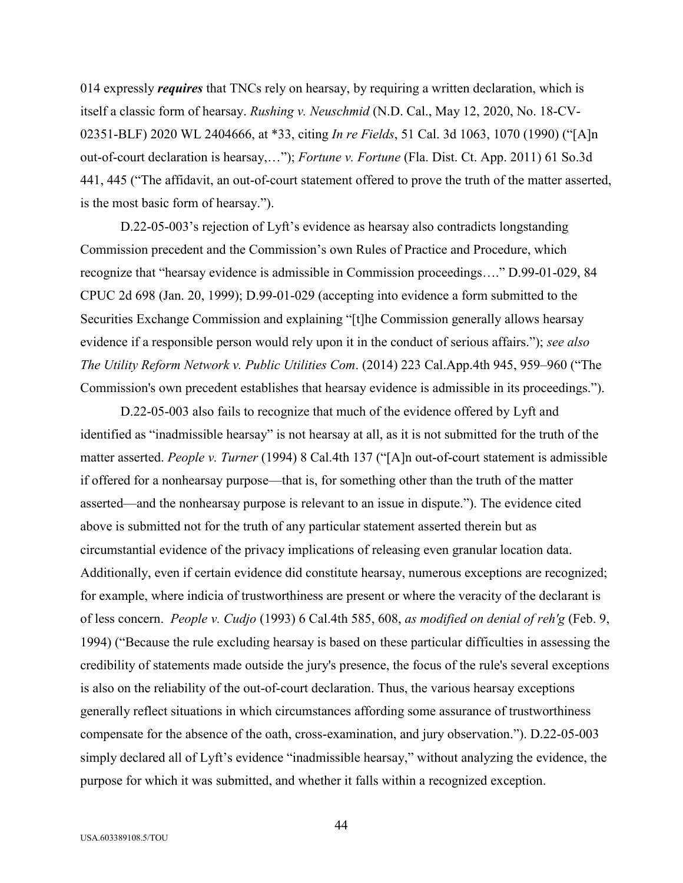014 expressly *requires* that TNCs rely on hearsay, by requiring a written declaration, which is itself a classic form of hearsay. *Rushing v. Neuschmid* (N.D. Cal., May 12, 2020, No. 18-CV-02351-BLF) 2020 WL 2404666, at \*33, citing *In re Fields*, 51 Cal. 3d 1063, 1070 (1990) ("[A]n out-of-court declaration is hearsay,…"); *Fortune v. Fortune* (Fla. Dist. Ct. App. 2011) 61 So.3d 441, 445 ("The affidavit, an out-of-court statement offered to prove the truth of the matter asserted, is the most basic form of hearsay.").

D.22-05-003's rejection of Lyft's evidence as hearsay also contradicts longstanding Commission precedent and the Commission's own Rules of Practice and Procedure, which recognize that "hearsay evidence is admissible in Commission proceedings…." D.99-01-029, 84 CPUC 2d 698 (Jan. 20, 1999); D.99-01-029 (accepting into evidence a form submitted to the Securities Exchange Commission and explaining "[t]he Commission generally allows hearsay evidence if a responsible person would rely upon it in the conduct of serious affairs."); *see also The Utility Reform Network v. Public Utilities Com*. (2014) 223 Cal.App.4th 945, 959–960 ("The Commission's own precedent establishes that hearsay evidence is admissible in its proceedings.").

D.22-05-003 also fails to recognize that much of the evidence offered by Lyft and identified as "inadmissible hearsay" is not hearsay at all, as it is not submitted for the truth of the matter asserted. *People v. Turner* (1994) 8 Cal.4th 137 ("[A]n out-of-court statement is admissible if offered for a nonhearsay purpose—that is, for something other than the truth of the matter asserted—and the nonhearsay purpose is relevant to an issue in dispute."). The evidence cited above is submitted not for the truth of any particular statement asserted therein but as circumstantial evidence of the privacy implications of releasing even granular location data. Additionally, even if certain evidence did constitute hearsay, numerous exceptions are recognized; for example, where indicia of trustworthiness are present or where the veracity of the declarant is of less concern. *People v. Cudjo* (1993) 6 Cal.4th 585, 608, *as modified on denial of reh'g* (Feb. 9, 1994) ("Because the rule excluding hearsay is based on these particular difficulties in assessing the credibility of statements made outside the jury's presence, the focus of the rule's several exceptions is also on the reliability of the out-of-court declaration. Thus, the various hearsay exceptions generally reflect situations in which circumstances affording some assurance of trustworthiness compensate for the absence of the oath, cross-examination, and jury observation."). D.22-05-003 simply declared all of Lyft's evidence "inadmissible hearsay," without analyzing the evidence, the purpose for which it was submitted, and whether it falls within a recognized exception.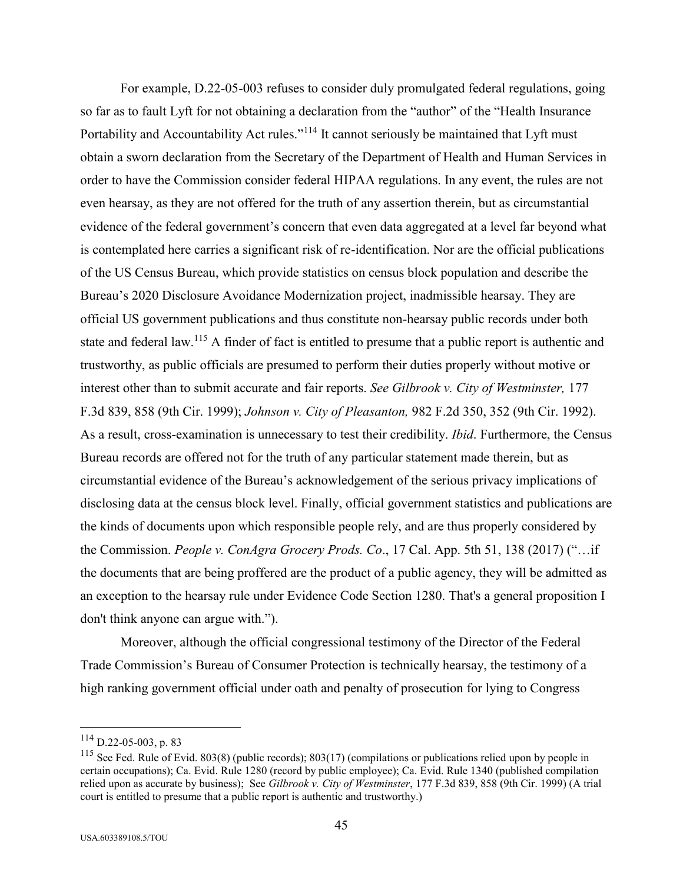For example, D.22-05-003 refuses to consider duly promulgated federal regulations, going so far as to fault Lyft for not obtaining a declaration from the "author" of the "Health Insurance Portability and Accountability Act rules."<sup>114</sup> It cannot seriously be maintained that Lyft must obtain a sworn declaration from the Secretary of the Department of Health and Human Services in order to have the Commission consider federal HIPAA regulations. In any event, the rules are not even hearsay, as they are not offered for the truth of any assertion therein, but as circumstantial evidence of the federal government's concern that even data aggregated at a level far beyond what is contemplated here carries a significant risk of re-identification. Nor are the official publications of the US Census Bureau, which provide statistics on census block population and describe the Bureau's 2020 Disclosure Avoidance Modernization project, inadmissible hearsay. They are official US government publications and thus constitute non-hearsay public records under both state and federal law.<sup>115</sup> A finder of fact is entitled to presume that a public report is authentic and trustworthy, as public officials are presumed to perform their duties properly without motive or interest other than to submit accurate and fair reports. *See Gilbrook v. City of Westminster,* 177 F.3d 839, 858 (9th Cir. 1999); *Johnson v. City of Pleasanton,* 982 F.2d 350, 352 (9th Cir. 1992). As a result, cross-examination is unnecessary to test their credibility. *Ibid*. Furthermore, the Census Bureau records are offered not for the truth of any particular statement made therein, but as circumstantial evidence of the Bureau's acknowledgement of the serious privacy implications of disclosing data at the census block level. Finally, official government statistics and publications are the kinds of documents upon which responsible people rely, and are thus properly considered by the Commission. *People v. ConAgra Grocery Prods. Co*., 17 Cal. App. 5th 51, 138 (2017) ("…if the documents that are being proffered are the product of a public agency, they will be admitted as an exception to the hearsay rule under Evidence Code Section 1280. That's a general proposition I don't think anyone can argue with.").

Moreover, although the official congressional testimony of the Director of the Federal Trade Commission's Bureau of Consumer Protection is technically hearsay, the testimony of a high ranking government official under oath and penalty of prosecution for lying to Congress

 $114$  D.22-05-003, p. 83

<sup>&</sup>lt;sup>115</sup> See Fed. Rule of Evid. 803(8) (public records); 803(17) (compilations or publications relied upon by people in certain occupations); Ca. Evid. Rule 1280 (record by public employee); Ca. Evid. Rule 1340 (published compilation relied upon as accurate by business); See *Gilbrook v. City of Westminster*, 177 F.3d 839, 858 (9th Cir. 1999) (A trial court is entitled to presume that a public report is authentic and trustworthy.)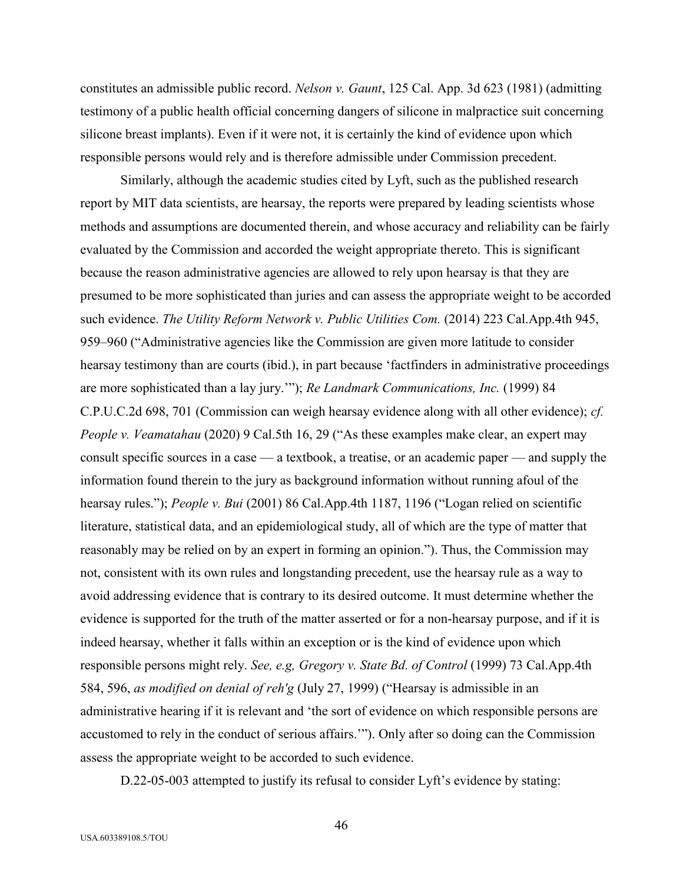constitutes an admissible public record. *Nelson v. Gaunt*, 125 Cal. App. 3d 623 (1981) (admitting testimony of a public health official concerning dangers of silicone in malpractice suit concerning silicone breast implants). Even if it were not, it is certainly the kind of evidence upon which responsible persons would rely and is therefore admissible under Commission precedent.

Similarly, although the academic studies cited by Lyft, such as the published research report by MIT data scientists, are hearsay, the reports were prepared by leading scientists whose methods and assumptions are documented therein, and whose accuracy and reliability can be fairly evaluated by the Commission and accorded the weight appropriate thereto. This is significant because the reason administrative agencies are allowed to rely upon hearsay is that they are presumed to be more sophisticated than juries and can assess the appropriate weight to be accorded such evidence. *The Utility Reform Network v. Public Utilities Com.* (2014) 223 Cal.App.4th 945, 959–960 ("Administrative agencies like the Commission are given more latitude to consider hearsay testimony than are courts (ibid.), in part because 'factfinders in administrative proceedings are more sophisticated than a lay jury.'"); *Re Landmark Communications, Inc.* (1999) 84 C.P.U.C.2d 698, 701 (Commission can weigh hearsay evidence along with all other evidence); *cf. People v. Veamatahau* (2020) 9 Cal.5th 16, 29 ("As these examples make clear, an expert may consult specific sources in a case — a textbook, a treatise, or an academic paper — and supply the information found therein to the jury as background information without running afoul of the hearsay rules."); *People v. Bui* (2001) 86 Cal.App.4th 1187, 1196 ("Logan relied on scientific literature, statistical data, and an epidemiological study, all of which are the type of matter that reasonably may be relied on by an expert in forming an opinion."). Thus, the Commission may not, consistent with its own rules and longstanding precedent, use the hearsay rule as a way to avoid addressing evidence that is contrary to its desired outcome. It must determine whether the evidence is supported for the truth of the matter asserted or for a non-hearsay purpose, and if it is indeed hearsay, whether it falls within an exception or is the kind of evidence upon which responsible persons might rely. *See, e.g, Gregory v. State Bd. of Control* (1999) 73 Cal.App.4th 584, 596, *as modified on denial of reh'g* (July 27, 1999) ("Hearsay is admissible in an administrative hearing if it is relevant and 'the sort of evidence on which responsible persons are accustomed to rely in the conduct of serious affairs.'"). Only after so doing can the Commission assess the appropriate weight to be accorded to such evidence.

D.22-05-003 attempted to justify its refusal to consider Lyft's evidence by stating:

46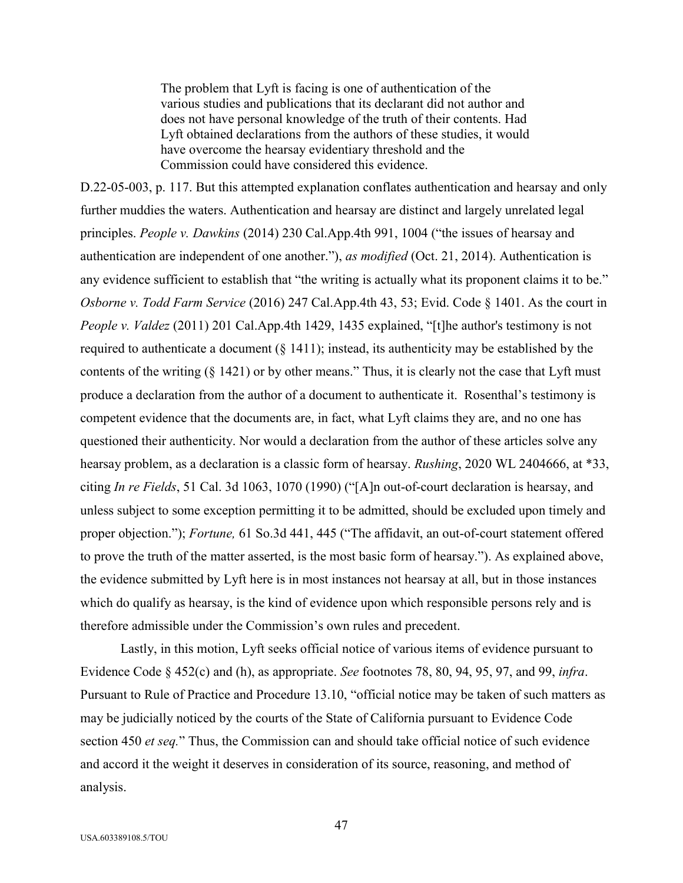The problem that Lyft is facing is one of authentication of the various studies and publications that its declarant did not author and does not have personal knowledge of the truth of their contents. Had Lyft obtained declarations from the authors of these studies, it would have overcome the hearsay evidentiary threshold and the Commission could have considered this evidence.

D.22-05-003, p. 117. But this attempted explanation conflates authentication and hearsay and only further muddies the waters. Authentication and hearsay are distinct and largely unrelated legal principles. *People v. Dawkins* (2014) 230 Cal.App.4th 991, 1004 ("the issues of hearsay and authentication are independent of one another."), *as modified* (Oct. 21, 2014). Authentication is any evidence sufficient to establish that "the writing is actually what its proponent claims it to be." *Osborne v. Todd Farm Service* (2016) 247 Cal.App.4th 43, 53; Evid. Code § 1401. As the court in *People v. Valdez* (2011) 201 Cal.App.4th 1429, 1435 explained, "[t]he author's testimony is not required to authenticate a document (§ 1411); instead, its authenticity may be established by the contents of the writing (§ 1421) or by other means." Thus, it is clearly not the case that Lyft must produce a declaration from the author of a document to authenticate it. Rosenthal's testimony is competent evidence that the documents are, in fact, what Lyft claims they are, and no one has questioned their authenticity. Nor would a declaration from the author of these articles solve any hearsay problem, as a declaration is a classic form of hearsay. *Rushing*, 2020 WL 2404666, at \*33, citing *In re Fields*, 51 Cal. 3d 1063, 1070 (1990) ("[A]n out-of-court declaration is hearsay, and unless subject to some exception permitting it to be admitted, should be excluded upon timely and proper objection."); *Fortune,* 61 So.3d 441, 445 ("The affidavit, an out-of-court statement offered to prove the truth of the matter asserted, is the most basic form of hearsay."). As explained above, the evidence submitted by Lyft here is in most instances not hearsay at all, but in those instances which do qualify as hearsay, is the kind of evidence upon which responsible persons rely and is therefore admissible under the Commission's own rules and precedent.

Lastly, in this motion, Lyft seeks official notice of various items of evidence pursuant to Evidence Code § 452(c) and (h), as appropriate. *See* footnotes 78, 80, 94, 95, 97, and 99, *infra*. Pursuant to Rule of Practice and Procedure 13.10, "official notice may be taken of such matters as may be judicially noticed by the courts of the State of California pursuant to Evidence Code section 450 *et seq.*" Thus, the Commission can and should take official notice of such evidence and accord it the weight it deserves in consideration of its source, reasoning, and method of analysis.

47